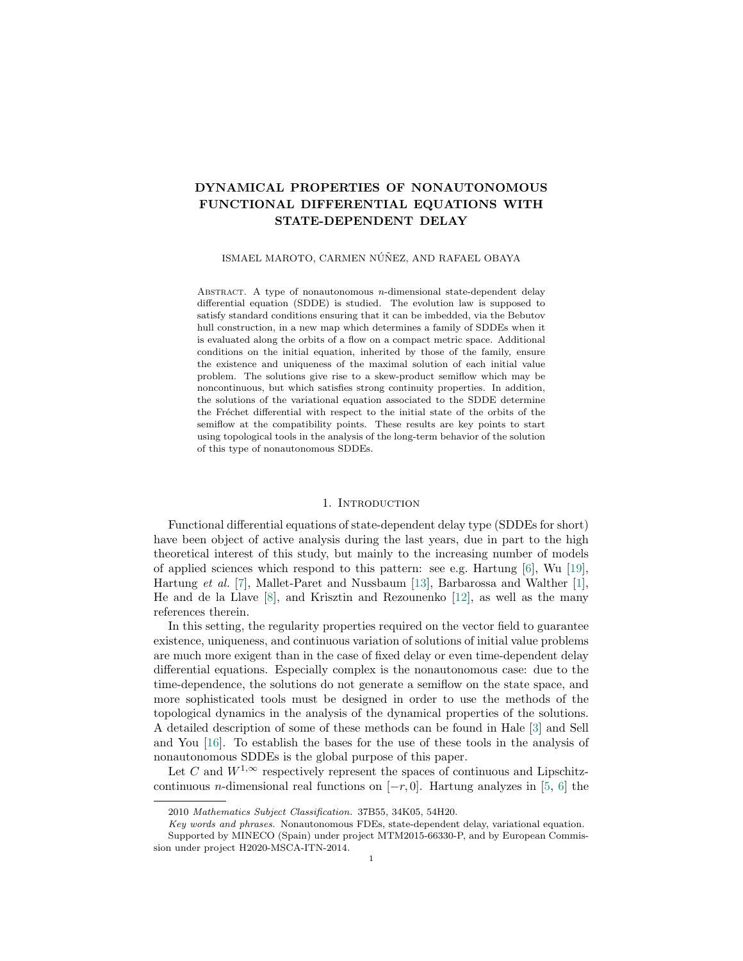# DYNAMICAL PROPERTIES OF NONAUTONOMOUS FUNCTIONAL DIFFERENTIAL EQUATIONS WITH STATE-DEPENDENT DELAY

# ISMAEL MAROTO, CARMEN NÚÑEZ, AND RAFAEL OBAYA

ABSTRACT. A type of nonautonomous  $n$ -dimensional state-dependent delay differential equation (SDDE) is studied. The evolution law is supposed to satisfy standard conditions ensuring that it can be imbedded, via the Bebutov hull construction, in a new map which determines a family of SDDEs when it is evaluated along the orbits of a flow on a compact metric space. Additional conditions on the initial equation, inherited by those of the family, ensure the existence and uniqueness of the maximal solution of each initial value problem. The solutions give rise to a skew-product semiflow which may be noncontinuous, but which satisfies strong continuity properties. In addition, the solutions of the variational equation associated to the SDDE determine the Fréchet differential with respect to the initial state of the orbits of the semiflow at the compatibility points. These results are key points to start using topological tools in the analysis of the long-term behavior of the solution of this type of nonautonomous SDDEs.

# 1. INTRODUCTION

Functional differential equations of state-dependent delay type (SDDEs for short) have been object of active analysis during the last years, due in part to the high theoretical interest of this study, but mainly to the increasing number of models of applied sciences which respond to this pattern: see e.g. Hartung  $[6]$ , Wu  $[19]$ , Hartung et al. [\[7\]](#page-22-1), Mallet-Paret and Nussbaum [\[13\]](#page-23-1), Barbarossa and Walther [\[1\]](#page-22-2), He and de la Llave [\[8\]](#page-22-3), and Krisztin and Rezounenko [\[12\]](#page-23-2), as well as the many references therein.

In this setting, the regularity properties required on the vector field to guarantee existence, uniqueness, and continuous variation of solutions of initial value problems are much more exigent than in the case of fixed delay or even time-dependent delay differential equations. Especially complex is the nonautonomous case: due to the time-dependence, the solutions do not generate a semiflow on the state space, and more sophisticated tools must be designed in order to use the methods of the topological dynamics in the analysis of the dynamical properties of the solutions. A detailed description of some of these methods can be found in Hale [\[3\]](#page-22-4) and Sell and You [\[16\]](#page-23-3). To establish the bases for the use of these tools in the analysis of nonautonomous SDDEs is the global purpose of this paper.

Let C and  $W^{1,\infty}$  respectively represent the spaces of continuous and Lipschitzcontinuous *n*-dimensional real functions on  $[-r, 0]$ . Hartung analyzes in [\[5,](#page-22-5) [6\]](#page-22-0) the

<sup>2010</sup> Mathematics Subject Classification. 37B55, 34K05, 54H20.

Key words and phrases. Nonautonomous FDEs, state-dependent delay, variational equation. Supported by MINECO (Spain) under project MTM2015-66330-P, and by European Commission under project H2020-MSCA-ITN-2014.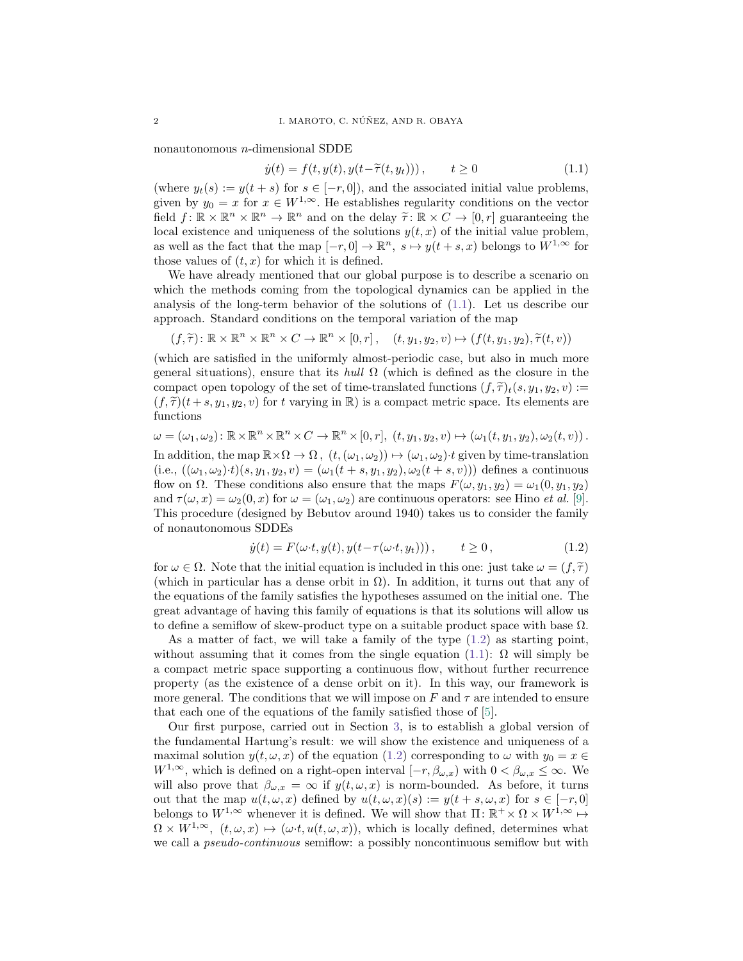nonautonomous n-dimensional SDDE

<span id="page-1-0"></span>
$$
\dot{y}(t) = f(t, y(t), y(t - \tilde{\tau}(t, y_t))), \qquad t \ge 0
$$
\n(1.1)

(where  $y_t(s) := y(t+s)$  for  $s \in [-r, 0]$ ), and the associated initial value problems, given by  $y_0 = x$  for  $x \in W^{1,\infty}$ . He establishes regularity conditions on the vector field  $f: \mathbb{R} \times \mathbb{R}^n \times \mathbb{R}^n \to \mathbb{R}^n$  and on the delay  $\tilde{\tau}: \mathbb{R} \times C \to [0, r]$  guaranteeing the local oxistance and uniquances of the solutions  $u(t, x)$  of the initial value problem local existence and uniqueness of the solutions  $y(t, x)$  of the initial value problem, as well as the fact that the map  $[-r, 0] \to \mathbb{R}^n$ ,  $s \mapsto y(t + s, x)$  belongs to  $W^{1,\infty}$  for those values of  $(t, x)$  for which it is defined.

We have already mentioned that our global purpose is to describe a scenario on which the methods coming from the topological dynamics can be applied in the analysis of the long-term behavior of the solutions of [\(1.1\)](#page-1-0). Let us describe our approach. Standard conditions on the temporal variation of the map

$$
(f,\widetilde{\tau})\colon \mathbb{R}\times\mathbb{R}^n\times\mathbb{R}^n\times C\to\mathbb{R}^n\times[0,r],\quad (t,y_1,y_2,v)\mapsto (f(t,y_1,y_2),\widetilde{\tau}(t,v))
$$

(which are satisfied in the uniformly almost-periodic case, but also in much more general situations), ensure that its hull  $\Omega$  (which is defined as the closure in the compact open topology of the set of time-translated functions  $(f, \tilde{\tau})_t(s, y_1, y_2, v) :=$  $(f, \tilde{\tau})(t + s, y_1, y_2, v)$  for t varying in R is a compact metric space. Its elements are functions

$$
\omega = (\omega_1, \omega_2) : \mathbb{R} \times \mathbb{R}^n \times \mathbb{R}^n \times C \to \mathbb{R}^n \times [0, r], (t, y_1, y_2, v) \mapsto (\omega_1(t, y_1, y_2), \omega_2(t, v)).
$$

In addition, the map  $\mathbb{R}\times\Omega\to\Omega$ ,  $(t,(\omega_1,\omega_2))\mapsto(\omega_1,\omega_2)\cdot t$  given by time-translation  $(i.e., ((\omega_1, \omega_2) \cdot t)(s, y_1, y_2, v) = (\omega_1(t + s, y_1, y_2), \omega_2(t + s, v)))$  defines a continuous flow on  $\Omega$ . These conditions also ensure that the maps  $F(\omega, y_1, y_2) = \omega_1(0, y_1, y_2)$ and  $\tau(\omega, x) = \omega_2(0, x)$  for  $\omega = (\omega_1, \omega_2)$  are continuous operators: see Hino *et al.* [\[9\]](#page-22-6). This procedure (designed by Bebutov around 1940) takes us to consider the family of nonautonomous SDDEs

<span id="page-1-1"></span>
$$
\dot{y}(t) = F(\omega \cdot t, y(t), y(t - \tau(\omega \cdot t, y_t))), \qquad t \ge 0,
$$
\n(1.2)

for  $\omega \in \Omega$ . Note that the initial equation is included in this one: just take  $\omega = (f, \tilde{\tau})$ (which in particular has a dense orbit in  $\Omega$ ). In addition, it turns out that any of the equations of the family satisfies the hypotheses assumed on the initial one. The great advantage of having this family of equations is that its solutions will allow us to define a semiflow of skew-product type on a suitable product space with base  $\Omega$ .

As a matter of fact, we will take a family of the type  $(1.2)$  as starting point, without assuming that it comes from the single equation [\(1.1\)](#page-1-0):  $\Omega$  will simply be a compact metric space supporting a continuous flow, without further recurrence property (as the existence of a dense orbit on it). In this way, our framework is more general. The conditions that we will impose on F and  $\tau$  are intended to ensure that each one of the equations of the family satisfied those of [\[5\]](#page-22-5).

Our first purpose, carried out in Section [3,](#page-4-0) is to establish a global version of the fundamental Hartung's result: we will show the existence and uniqueness of a maximal solution  $y(t, \omega, x)$  of the equation [\(1.2\)](#page-1-1) corresponding to  $\omega$  with  $y_0 = x \in$  $W^{1,\infty}$ , which is defined on a right-open interval  $[-r, \beta_{\omega,x})$  with  $0 < \beta_{\omega,x} \leq \infty$ . We will also prove that  $\beta_{\omega,x} = \infty$  if  $y(t,\omega,x)$  is norm-bounded. As before, it turns out that the map  $u(t, \omega, x)$  defined by  $u(t, \omega, x)(s) := y(t + s, \omega, x)$  for  $s \in [-r, 0]$ belongs to  $W^{1,\infty}$  whenever it is defined. We will show that  $\Pi: \mathbb{R}^+ \times \Omega \times W^{1,\infty} \mapsto$  $\Omega \times W^{1,\infty}$ ,  $(t,\omega, x) \mapsto (\omega \cdot t, u(t,\omega, x))$ , which is locally defined, determines what we call a *pseudo-continuous* semiflow: a possibly noncontinuous semiflow but with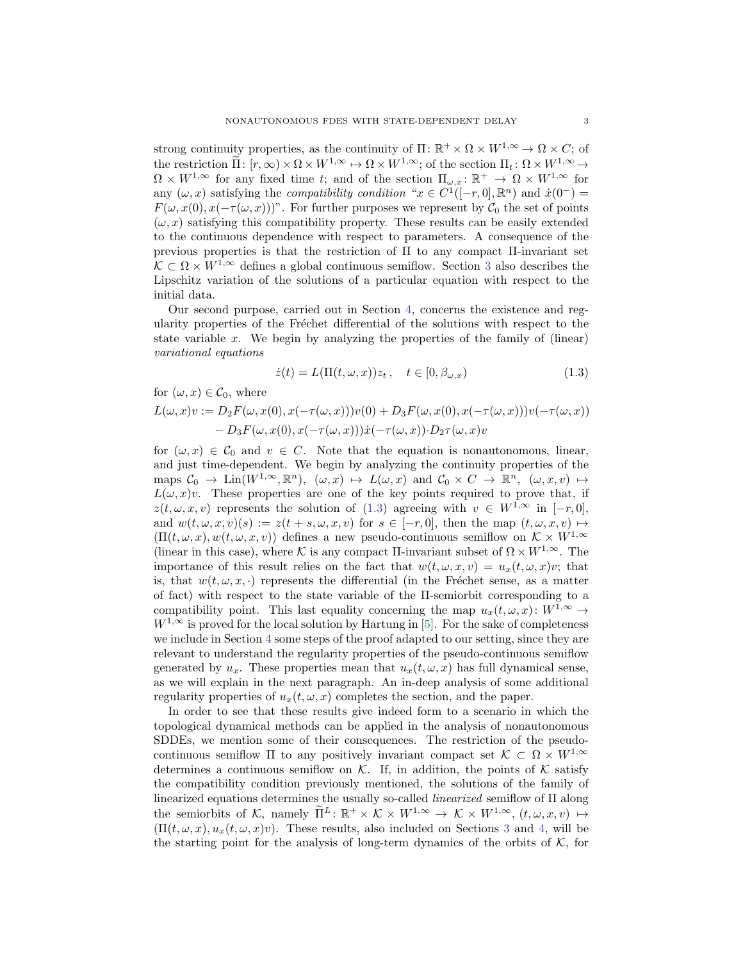strong continuity properties, as the continuity of  $\Pi: \mathbb{R}^+ \times \Omega \times W^{1,\infty} \to \Omega \times C$ ; of the restriction  $\tilde{\Pi}$ :  $[r, \infty) \times \Omega \times W^{1, \infty} \mapsto \Omega \times W^{1, \infty}$ ; of the section  $\Pi_t \colon \Omega \times W^{1, \infty} \to$  $\Omega \times W^{1,\infty}$  for any fixed time t; and of the section  $\Pi_{\omega,x} : \mathbb{R}^+ \to \Omega \times W^{1,\infty}$  for any  $(\omega, x)$  satisfying the *compatibility condition* " $x \in C^1([-r, 0], \mathbb{R}^n)$  and  $\dot{x}(0^-) =$  $F(\omega, x(0), x(-\tau(\omega, x)))$ ". For further purposes we represent by  $C_0$  the set of points  $(\omega, x)$  satisfying this compatibility property. These results can be easily extended to the continuous dependence with respect to parameters. A consequence of the previous properties is that the restriction of Π to any compact Π-invariant set  $\mathcal{K} \subset \Omega \times W^{1,\infty}$  defines a global continuous semiflow. Section [3](#page-4-0) also describes the Lipschitz variation of the solutions of a particular equation with respect to the initial data.

Our second purpose, carried out in Section [4,](#page-12-0) concerns the existence and regularity properties of the Fréchet differential of the solutions with respect to the state variable x. We begin by analyzing the properties of the family of (linear) variational equations

<span id="page-2-0"></span>
$$
\dot{z}(t) = L(\Pi(t, \omega, x))z_t, \quad t \in [0, \beta_{\omega, x})
$$
\n(1.3)

for  $(\omega, x) \in \mathcal{C}_0$ , where

$$
L(\omega, x)v := D_2 F(\omega, x(0), x(-\tau(\omega, x)))v(0) + D_3 F(\omega, x(0), x(-\tau(\omega, x)))v(-\tau(\omega, x))
$$
  
- 
$$
D_3 F(\omega, x(0), x(-\tau(\omega, x)))\dot{x}(-\tau(\omega, x)) \cdot D_2 \tau(\omega, x)v
$$

for  $(\omega, x) \in C_0$  and  $v \in C$ . Note that the equation is nonautonomous, linear, and just time-dependent. We begin by analyzing the continuity properties of the maps  $C_0 \to \text{Lin}(W^{1,\infty}, \mathbb{R}^n)$ ,  $(\omega, x) \mapsto L(\omega, x)$  and  $C_0 \times C \to \mathbb{R}^n$ ,  $(\omega, x, v) \mapsto$  $L(\omega, x)v$ . These properties are one of the key points required to prove that, if  $z(t, \omega, x, v)$  represents the solution of [\(1.3\)](#page-2-0) agreeing with  $v \in W^{1,\infty}$  in  $[-r, 0]$ , and  $w(t, \omega, x, v)(s) := z(t + s, \omega, x, v)$  for  $s \in [-r, 0]$ , then the map  $(t, \omega, x, v) \mapsto$  $(\Pi(t, \omega, x), w(t, \omega, x, v))$  defines a new pseudo-continuous semiflow on  $\mathcal{K} \times W^{1,\infty}$ (linear in this case), where K is any compact  $\Pi$ -invariant subset of  $\Omega \times W^{1,\infty}$ . The importance of this result relies on the fact that  $w(t, \omega, x, v) = u_x(t, \omega, x)v$ ; that is, that  $w(t, \omega, x, \cdot)$  represents the differential (in the Fréchet sense, as a matter of fact) with respect to the state variable of the Π-semiorbit corresponding to a compatibility point. This last equality concerning the map  $u_x(t, \omega, x): W^{1,\infty} \to$  $W^{1,\infty}$  is proved for the local solution by Hartung in [\[5\]](#page-22-5). For the sake of completeness we include in Section [4](#page-12-0) some steps of the proof adapted to our setting, since they are relevant to understand the regularity properties of the pseudo-continuous semiflow generated by  $u_x$ . These properties mean that  $u_x(t, \omega, x)$  has full dynamical sense, as we will explain in the next paragraph. An in-deep analysis of some additional regularity properties of  $u_x(t, \omega, x)$  completes the section, and the paper.

In order to see that these results give indeed form to a scenario in which the topological dynamical methods can be applied in the analysis of nonautonomous SDDEs, we mention some of their consequences. The restriction of the pseudocontinuous semiflow Π to any positively invariant compact set  $\mathcal{K} \subset \Omega \times W^{1,\infty}$ determines a continuous semiflow on K. If, in addition, the points of K satisfy the compatibility condition previously mentioned, the solutions of the family of linearized equations determines the usually so-called linearized semiflow of Π along the semiorbits of K, namely  $\tilde{\Pi}^L : \mathbb{R}^+ \times \mathcal{K} \times W^{1,\infty} \to \mathcal{K} \times W^{1,\infty}$ ,  $(t, \omega, x, v) \mapsto$  $(\Pi(t,\omega,x), u_x(t,\omega,x)v)$ . These results, also included on Sections [3](#page-4-0) and [4,](#page-12-0) will be the starting point for the analysis of long-term dynamics of the orbits of  $K$ , for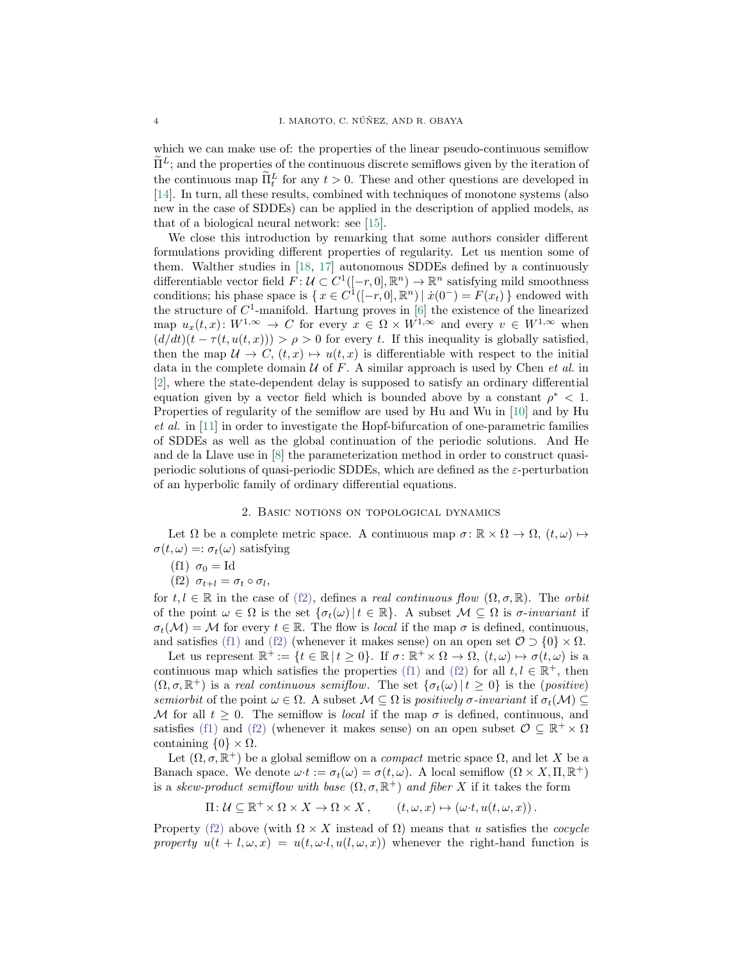which we can make use of: the properties of the linear pseudo-continuous semiflow  $\Pi^L$ ; and the properties of the continuous discrete semiflows given by the iteration of the continuous map  $\tilde{\Pi}_t^L$  for any  $t > 0$ . These and other questions are developed in [\[14\]](#page-23-4). In turn, all these results, combined with techniques of monotone systems (also new in the case of SDDEs) can be applied in the description of applied models, as that of a biological neural network: see [\[15\]](#page-23-5).

We close this introduction by remarking that some authors consider different formulations providing different properties of regularity. Let us mention some of them. Walther studies in [\[18,](#page-23-6) [17\]](#page-23-7) autonomous SDDEs defined by a continuously differentiable vector field  $F: U \subset C^1([-r, 0], \mathbb{R}^n) \to \mathbb{R}^n$  satisfying mild smoothness conditions; his phase space is  $\{x \in C^1([-r, 0], \mathbb{R}^n) \mid x(0^-) = F(x_t)\}\$ endowed with the structure of  $C^1$ -manifold. Hartung proves in [\[6\]](#page-22-0) the existence of the linearized map  $u_x(t, x): W^{1, \infty} \to C$  for every  $x \in \Omega \times W^{1, \infty}$  and every  $v \in W^{1, \infty}$  when  $(d/dt)(t - \tau(t, u(t, x))) > \rho > 0$  for every t. If this inequality is globally satisfied, then the map  $\mathcal{U} \to C$ ,  $(t, x) \mapsto u(t, x)$  is differentiable with respect to the initial data in the complete domain  $U$  of F. A similar approach is used by Chen *et al.* in [\[2\]](#page-22-7), where the state-dependent delay is supposed to satisfy an ordinary differential equation given by a vector field which is bounded above by a constant  $\rho^* < 1$ . Properties of regularity of the semiflow are used by Hu and Wu in [\[10\]](#page-22-8) and by Hu et al. in [\[11\]](#page-22-9) in order to investigate the Hopf-bifurcation of one-parametric families of SDDEs as well as the global continuation of the periodic solutions. And He and de la Llave use in [\[8\]](#page-22-3) the parameterization method in order to construct quasiperiodic solutions of quasi-periodic SDDEs, which are defined as the  $\varepsilon$ -perturbation of an hyperbolic family of ordinary differential equations.

### 2. Basic notions on topological dynamics

<span id="page-3-2"></span>Let  $\Omega$  be a complete metric space. A continuous map  $\sigma: \mathbb{R} \times \Omega \to \Omega$ ,  $(t, \omega) \mapsto$  $\sigma(t,\omega) =: \sigma_t(\omega)$  satisfying

$$
(f1) \ \sigma_0 = Id
$$

<span id="page-3-1"></span><span id="page-3-0"></span>(f2)  $\sigma_{t+l} = \sigma_t \circ \sigma_l$ ,

for  $t, l \in \mathbb{R}$  in the case of [\(f2\),](#page-3-0) defines a *real continuous flow*  $(\Omega, \sigma, \mathbb{R})$ . The *orbit* of the point  $\omega \in \Omega$  is the set  $\{\sigma_t(\omega) | t \in \mathbb{R}\}\)$ . A subset  $\mathcal{M} \subseteq \Omega$  is  $\sigma$ -invariant if  $\sigma_t(\mathcal{M}) = \mathcal{M}$  for every  $t \in \mathbb{R}$ . The flow is *local* if the map  $\sigma$  is defined, continuous, and satisfies [\(f1\)](#page-3-1) and [\(f2\)](#page-3-0) (whenever it makes sense) on an open set  $\mathcal{O} \supset \{0\} \times \Omega$ .

Let us represent  $\mathbb{R}^+ := \{t \in \mathbb{R} \mid t \geq 0\}$ . If  $\sigma \colon \mathbb{R}^+ \times \Omega \to \Omega$ ,  $(t, \omega) \mapsto \sigma(t, \omega)$  is a continuous map which satisfies the properties [\(f1\)](#page-3-1) and [\(f2\)](#page-3-0) for all  $t, l \in \mathbb{R}^+$ , then  $(\Omega, \sigma, \mathbb{R}^+)$  is a real continuous semiflow. The set  $\{\sigma_t(\omega) | t \geq 0\}$  is the (positive) semiorbit of the point  $\omega \in \Omega$ . A subset  $\mathcal{M} \subseteq \Omega$  is positively  $\sigma$ -invariant if  $\sigma_t(\mathcal{M}) \subseteq$ M for all  $t \geq 0$ . The semiflow is *local* if the map  $\sigma$  is defined, continuous, and satisfies [\(f1\)](#page-3-1) and [\(f2\)](#page-3-0) (whenever it makes sense) on an open subset  $\mathcal{O} \subseteq \mathbb{R}^+ \times \Omega$ containing  $\{0\} \times \Omega$ .

Let  $(\Omega, \sigma, \mathbb{R}^+)$  be a global semiflow on a *compact* metric space  $\Omega$ , and let X be a Banach space. We denote  $\omega \cdot t := \sigma_t(\omega) = \sigma(t, \omega)$ . A local semiflow  $(\Omega \times X, \Pi, \mathbb{R}^+)$ is a skew-product semiflow with base  $(\Omega, \sigma, \mathbb{R}^+)$  and fiber X if it takes the form

$$
\Pi: \mathcal{U} \subseteq \mathbb{R}^+ \times \Omega \times X \to \Omega \times X, \qquad (t, \omega, x) \mapsto (\omega \cdot t, u(t, \omega, x)).
$$

Property [\(f2\)](#page-3-0) above (with  $\Omega \times X$  instead of  $\Omega$ ) means that u satisfies the *cocycle* property  $u(t + l, \omega, x) = u(t, \omega, l, u(l, \omega, x))$  whenever the right-hand function is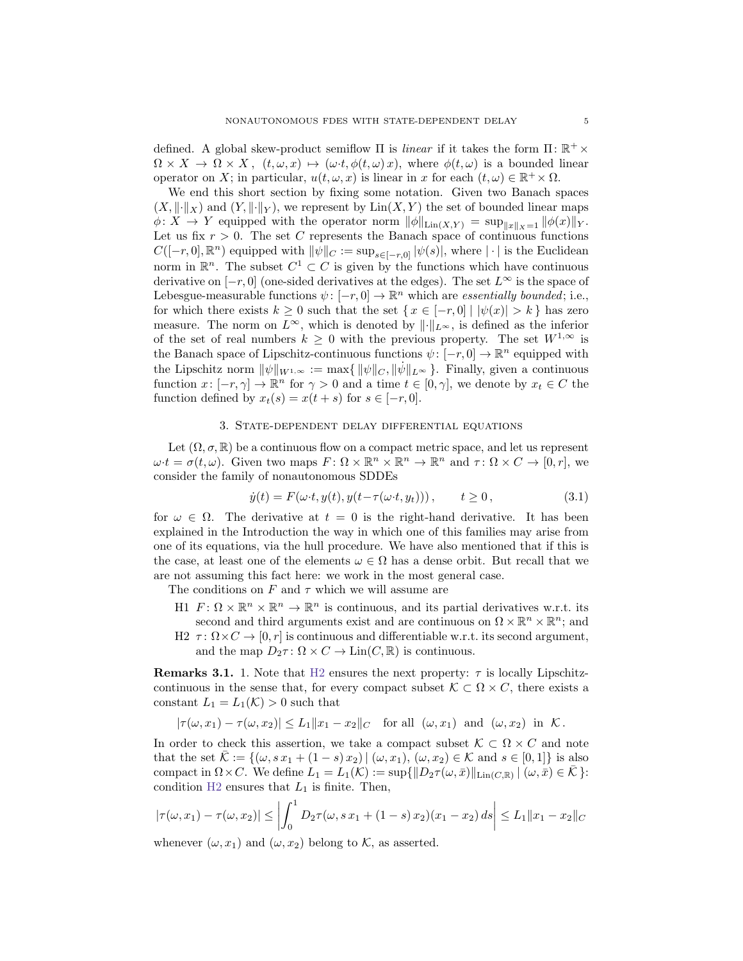defined. A global skew-product semiflow  $\Pi$  is *linear* if it takes the form  $\Pi: \mathbb{R}^+ \times$  $\Omega \times X \to \Omega \times X$ ,  $(t, \omega, x) \mapsto (\omega \cdot t, \phi(t, \omega) x)$ , where  $\phi(t, \omega)$  is a bounded linear operator on X; in particular,  $u(t, \omega, x)$  is linear in x for each  $(t, \omega) \in \mathbb{R}^+ \times \Omega$ .

We end this short section by fixing some notation. Given two Banach spaces  $(X, \|\cdot\|_X)$  and  $(Y, \|\cdot\|_Y)$ , we represent by  $\text{Lin}(X, Y)$  the set of bounded linear maps  $\phi: X \to Y$  equipped with the operator norm  $\|\phi\|_{\text{Lin}(X,Y)} = \sup_{\|x\|_{X}=1} \|\phi(x)\|_{Y}$ . Let us fix  $r > 0$ . The set C represents the Banach space of continuous functions  $C([-r, 0], \mathbb{R}^n)$  equipped with  $\|\psi\|_C := \sup_{s \in [-r, 0]} |\psi(s)|$ , where  $|\cdot|$  is the Euclidean norm in  $\mathbb{R}^n$ . The subset  $C^1 \subset C$  is given by the functions which have continuous derivative on  $[-r, 0]$  (one-sided derivatives at the edges). The set  $L^{\infty}$  is the space of Lebesgue-measurable functions  $\psi: [-r, 0] \to \mathbb{R}^n$  which are *essentially bounded*; i.e., for which there exists  $k \geq 0$  such that the set  $\{x \in [-r, 0] \mid |\psi(x)| > k\}$  has zero measure. The norm on  $L^{\infty}$ , which is denoted by  $\|\cdot\|_{L^{\infty}}$ , is defined as the inferior of the set of real numbers  $k \geq 0$  with the previous property. The set  $W^{1,\infty}$  is the Banach space of Lipschitz-continuous functions  $\psi: [-r, 0] \to \mathbb{R}^n$  equipped with the Lipschitz norm  $\|\psi\|_{W^{1,\infty}} := \max\{\|\psi\|_{C}, \|\psi\|_{L^{\infty}}\}\.$  Finally, given a continuous function  $x: [-r, \gamma] \to \mathbb{R}^n$  for  $\gamma > 0$  and a time  $t \in [0, \gamma]$ , we denote by  $x_t \in C$  the function defined by  $x_t(s) = x(t+s)$  for  $s \in [-r, 0]$ .

# 3. State-dependent delay differential equations

<span id="page-4-0"></span>Let  $(\Omega, \sigma, \mathbb{R})$  be a continuous flow on a compact metric space, and let us represent  $\omega \cdot t = \sigma(t, \omega)$ . Given two maps  $F: \Omega \times \mathbb{R}^n \times \mathbb{R}^n \to \mathbb{R}^n$  and  $\tau: \Omega \times C \to [0, r]$ , we consider the family of nonautonomous SDDEs

<span id="page-4-2"></span>
$$
\dot{y}(t) = F(\omega \cdot t, y(t), y(t - \tau(\omega \cdot t, y_t))), \qquad t \ge 0,
$$
\n(3.1)

for  $\omega \in \Omega$ . The derivative at  $t = 0$  is the right-hand derivative. It has been explained in the Introduction the way in which one of this families may arise from one of its equations, via the hull procedure. We have also mentioned that if this is the case, at least one of the elements  $\omega \in \Omega$  has a dense orbit. But recall that we are not assuming this fact here: we work in the most general case.

<span id="page-4-3"></span>The conditions on F and  $\tau$  which we will assume are

- H1  $F: \Omega \times \mathbb{R}^n \times \mathbb{R}^n \to \mathbb{R}^n$  is continuous, and its partial derivatives w.r.t. its second and third arguments exist and are continuous on  $\Omega \times \mathbb{R}^n \times \mathbb{R}^n$ ; and
- <span id="page-4-1"></span>H2  $\tau: \Omega \times C \to [0, r]$  is continuous and differentiable w.r.t. its second argument, and the map  $D_2 \tau : \Omega \times C \to \text{Lin}(C, \mathbb{R})$  is continuous.

<span id="page-4-4"></span>**Remarks 3.1.** 1. Note that [H2](#page-4-1) ensures the next property:  $\tau$  is locally Lipschitzcontinuous in the sense that, for every compact subset  $\mathcal{K} \subset \Omega \times C$ , there exists a constant  $L_1 = L_1(\mathcal{K}) > 0$  such that

$$
|\tau(\omega,x_1)-\tau(\omega,x_2)|\leq L_1\|x_1-x_2\|_C\quad\text{for all }(\omega,x_1)\;\;\text{and}\;\;(\omega,x_2)\;\;\text{in}\;\;\mathcal{K}\,.
$$

In order to check this assertion, we take a compact subset  $\mathcal{K} \subset \Omega \times C$  and note that the set  $\mathcal{K} := \{(\omega, s x_1 + (1-s) x_2) | (\omega, x_1), (\omega, x_2) \in \mathcal{K} \text{ and } s \in [0,1]\}\$ is also compact in  $\Omega \times C$ . We define  $L_1 = L_1(\mathcal{K}) := \sup\{\|D_2\tau(\omega,\bar{x})\|_{\text{Lin}(C,\mathbb{R})} \mid (\omega,\bar{x}) \in \bar{\mathcal{K}}\}\.$ condition  $H2$  ensures that  $L_1$  is finite. Then,

$$
|\tau(\omega, x_1) - \tau(\omega, x_2)| \le \left| \int_0^1 D_2 \tau(\omega, s x_1 + (1 - s) x_2)(x_1 - x_2) ds \right| \le L_1 \|x_1 - x_2\|_C
$$

whenever  $(\omega, x_1)$  and  $(\omega, x_2)$  belong to K, as asserted.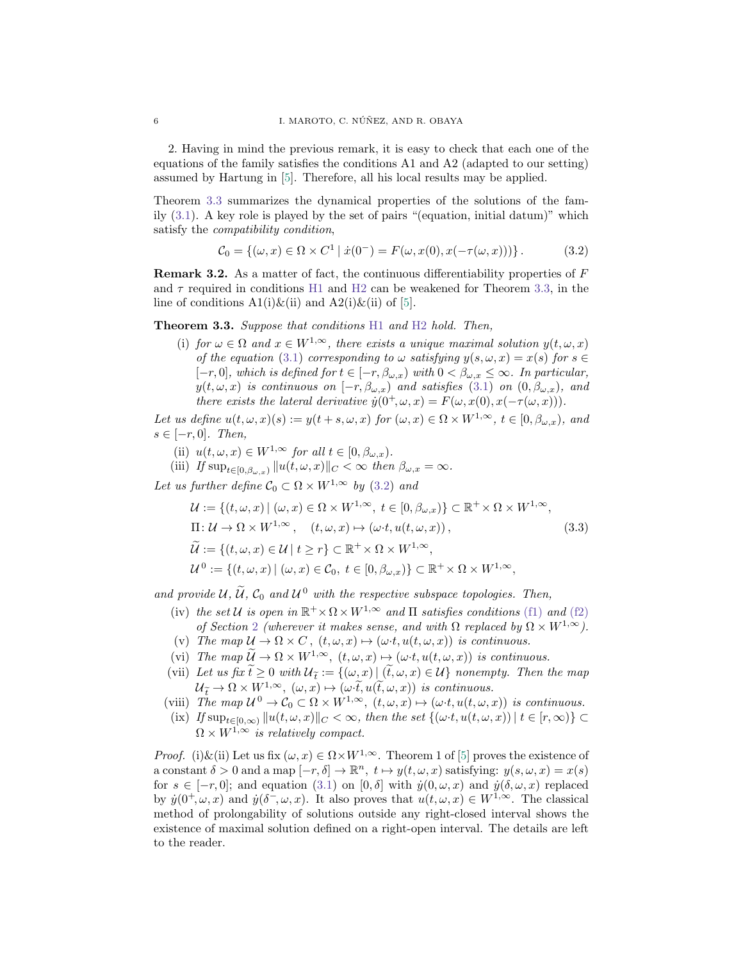2. Having in mind the previous remark, it is easy to check that each one of the equations of the family satisfies the conditions A1 and A2 (adapted to our setting) assumed by Hartung in [\[5\]](#page-22-5). Therefore, all his local results may be applied.

Theorem [3.3](#page-5-0) summarizes the dynamical properties of the solutions of the family [\(3.1\)](#page-4-2). A key role is played by the set of pairs "(equation, initial datum)" which satisfy the compatibility condition,

<span id="page-5-1"></span>
$$
\mathcal{C}_0 = \{ (\omega, x) \in \Omega \times C^1 \mid \dot{x}(0^-) = F(\omega, x(0), x(-\tau(\omega, x))) \}.
$$
 (3.2)

**Remark 3.2.** As a matter of fact, the continuous differentiability properties of  $F$ and  $\tau$  required in conditions [H1](#page-4-3) and [H2](#page-4-1) can be weakened for Theorem [3.3,](#page-5-0) in the line of conditions  $A1(i)\&(ii)$  and  $A2(i)\&(ii)$  of [\[5\]](#page-22-5).

<span id="page-5-0"></span>Theorem 3.3. Suppose that conditions [H1](#page-4-3) and [H2](#page-4-1) hold. Then,

(i) for  $\omega \in \Omega$  and  $x \in W^{1,\infty}$ , there exists a unique maximal solution  $y(t, \omega, x)$ of the equation [\(3.1\)](#page-4-2) corresponding to  $\omega$  satisfying  $y(s, \omega, x) = x(s)$  for  $s \in$  $[-r, 0]$ , which is defined for  $t \in [-r, \beta_{\omega,x})$  with  $0 < \beta_{\omega,x} \leq \infty$ . In particular,  $y(t, \omega, x)$  is continuous on  $[-r, \beta_{\omega,x})$  and satisfies [\(3.1\)](#page-4-2) on  $(0, \beta_{\omega,x})$ , and there exists the lateral derivative  $\dot{y}(0^+,\omega,x) = F(\omega,x(0),x(-\tau(\omega,x))).$ 

Let us define  $u(t, \omega, x)(s) := y(t + s, \omega, x)$  for  $(\omega, x) \in \Omega \times W^{1, \infty}$ ,  $t \in [0, \beta_{\omega, x})$ , and  $s \in [-r, 0]$ . Then,

- (ii)  $u(t, \omega, x) \in W^{1,\infty}$  for all  $t \in [0, \beta_{\omega,x}).$
- (iii) If  $\sup_{t\in[0,\beta_{\omega,x})}||u(t,\omega,x)||_C<\infty$  then  $\beta_{\omega,x}=\infty$ .

Let us further define  $C_0 \subset \Omega \times W^{1,\infty}$  by [\(3.2\)](#page-5-1) and

<span id="page-5-2"></span>
$$
\mathcal{U} := \{ (t, \omega, x) \mid (\omega, x) \in \Omega \times W^{1, \infty}, t \in [0, \beta_{\omega, x}) \} \subset \mathbb{R}^+ \times \Omega \times W^{1, \infty},
$$
  
\n
$$
\Pi: \mathcal{U} \to \Omega \times W^{1, \infty}, \quad (t, \omega, x) \mapsto (\omega \cdot t, u(t, \omega, x)),
$$
  
\n
$$
\widetilde{\mathcal{U}} := \{ (t, \omega, x) \in \mathcal{U} \mid t \ge r \} \subset \mathbb{R}^+ \times \Omega \times W^{1, \infty},
$$
  
\n
$$
\mathcal{U}^0 := \{ (t, \omega, x) \mid (\omega, x) \in \mathcal{C}_0, t \in [0, \beta_{\omega, x}) \} \subset \mathbb{R}^+ \times \Omega \times W^{1, \infty},
$$
  
\n(3.3)

and provide  $U, \tilde{U}, C_0$  and  $U^0$  with the respective subspace topologies. Then,

- (iv) the set U is open in  $\mathbb{R}^+ \times \Omega \times W^{1,\infty}$  and  $\Pi$  satisfies conditions [\(f1\)](#page-3-1) and [\(f2\)](#page-3-0) of Section [2](#page-3-2) (wherever it makes sense, and with  $\Omega$  replaced by  $\Omega \times W^{1,\infty}$ ).
- (v) The map  $\mathcal{U} \to \Omega \times C$ ,  $(t, \omega, x) \mapsto (\omega \cdot t, u(t, \omega, x))$  is continuous.
- (vi) The map  $\widetilde{U} \to \Omega \times W^{1,\infty}$ ,  $(t, \omega, x) \mapsto (\omega \cdot t, u(t, \omega, x))$  is continuous.
- (vii) Let us fix  $t \geq 0$  with  $\mathcal{U}_{\tilde{t}} := \{(\omega, x) | (t, \omega, x) \in \mathcal{U}\}$  nonempty. Then the map  $\mathcal{U}_{\tilde{\tau}} \to \Omega \times W^{1,\infty}, \ (\omega, x) \mapsto (\omega \cdot \tilde{t}, u(\tilde{t}, \omega, x)) \ \text{is continuous.}$
- (viii) The map  $\mathcal{U}^0 \to \mathcal{C}_0 \subset \Omega \times W^{1,\infty}$ ,  $(t, \omega, x) \mapsto (\omega \cdot t, u(t, \omega, x))$  is continuous.
- (ix) If  $\sup_{t\in[0,\infty)}||u(t,\omega,x)||_C<\infty$ , then the set  $\{(\omega \cdot t, u(t,\omega,x))\,|\,t\in[r,\infty)\}\subset$  $\Omega \times W^{1,\infty}$  is relatively compact.

*Proof.* (i)&(ii) Let us fix  $(\omega, x) \in \Omega \times W^{1,\infty}$ . Theorem 1 of [\[5\]](#page-22-5) proves the existence of a constant  $\delta > 0$  and a map  $[-r, \delta] \to \mathbb{R}^n$ ,  $t \mapsto y(t, \omega, x)$  satisfying:  $y(s, \omega, x) = x(s)$ for  $s \in [-r, 0]$ ; and equation  $(3.1)$  on  $[0, \delta]$  with  $\dot{y}(0, \omega, x)$  and  $\dot{y}(\delta, \omega, x)$  replaced by  $\dot{y}(0^+,\omega,x)$  and  $\dot{y}(\delta^-,\omega,x)$ . It also proves that  $u(t,\omega,x) \in W^{1,\infty}$ . The classical method of prolongability of solutions outside any right-closed interval shows the existence of maximal solution defined on a right-open interval. The details are left to the reader.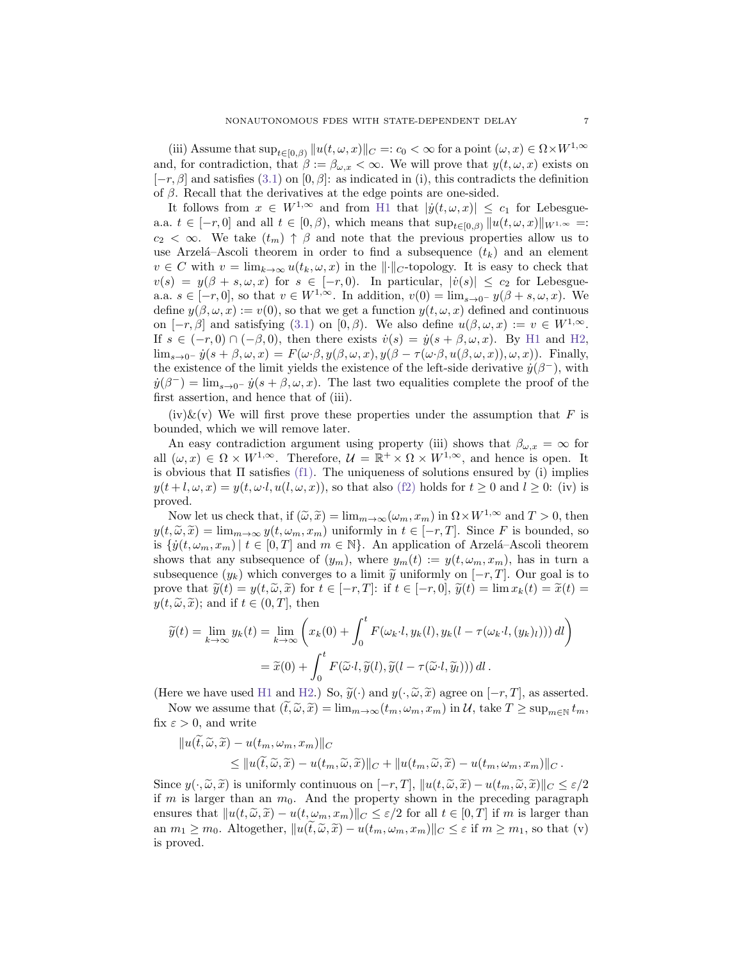(iii) Assume that  $\sup_{t\in[0,\beta)}||u(t,\omega,x)||_C =: c_0 < \infty$  for a point  $(\omega, x) \in \Omega \times W^{1,\infty}$ and, for contradiction, that  $\beta := \beta_{\omega,x} < \infty$ . We will prove that  $y(t, \omega, x)$  exists on  $[-r, \beta]$  and satisfies [\(3.1\)](#page-4-2) on [0,  $\beta$ ]: as indicated in (i), this contradicts the definition of  $\beta$ . Recall that the derivatives at the edge points are one-sided.

It follows from  $x \in W^{1,\infty}$  and from [H1](#page-4-3) that  $|\dot{y}(t,\omega,x)| \leq c_1$  for Lebesguea.a.  $t \in [-r, 0]$  and all  $t \in [0, \beta)$ , which means that  $\sup_{t \in [0, \beta)} ||u(t, \omega, x)||_{W^{1,\infty}} =$ :  $c_2 < \infty$ . We take  $(t_m) \uparrow \beta$  and note that the previous properties allow us to use Arzelá–Ascoli theorem in order to find a subsequence  $(t_k)$  and an element  $v \in C$  with  $v = \lim_{k \to \infty} u(t_k, \omega, x)$  in the  $\| \cdot \|_{C}$ -topology. It is easy to check that  $v(s) = y(\beta + s, \omega, x)$  for  $s \in [-r, 0]$ . In particular,  $|\dot{v}(s)| \leq c_2$  for Lebesguea.a.  $s \in [-r, 0]$ , so that  $v \in W^{1, \infty}$ . In addition,  $v(0) = \lim_{s \to 0^-} y(\beta + s, \omega, x)$ . We define  $y(\beta, \omega, x) := v(0)$ , so that we get a function  $y(t, \omega, x)$  defined and continuous on  $[-r, \beta]$  and satisfying [\(3.1\)](#page-4-2) on  $[0, \beta)$ . We also define  $u(\beta, \omega, x) := v \in W^{1, \infty}$ . If  $s \in (-r, 0) \cap (-\beta, 0)$ , then there exists  $\dot{v}(s) = \dot{y}(s + \beta, \omega, x)$ . By [H1](#page-4-3) and [H2,](#page-4-1)  $\lim_{s\to 0^-} \dot{y}(s+\beta,\omega,x) = F(\omega \cdot \beta, y(\beta,\omega,x), y(\beta - \tau(\omega \cdot \beta, u(\beta,\omega,x)), \omega, x)).$  Finally, the existence of the limit yields the existence of the left-side derivative  $\dot{y}(\beta^-)$ , with  $\dot{y}(\beta^-) = \lim_{s \to 0^-} \dot{y}(s + \beta, \omega, x)$ . The last two equalities complete the proof of the first assertion, and hence that of (iii).

 $(iv)$ &(v) We will first prove these properties under the assumption that F is bounded, which we will remove later.

An easy contradiction argument using property (iii) shows that  $\beta_{\omega,x} = \infty$  for all  $(\omega, x) \in \Omega \times W^{1,\infty}$ . Therefore,  $\mathcal{U} = \mathbb{R}^+ \times \Omega \times W^{1,\infty}$ , and hence is open. It is obvious that  $\Pi$  satisfies [\(f1\).](#page-3-1) The uniqueness of solutions ensured by (i) implies  $y(t+l,\omega,x) = y(t,\omega \cdot l, u(l,\omega,x))$ , so that also [\(f2\)](#page-3-0) holds for  $t \ge 0$  and  $l \ge 0$ : (iv) is proved.

Now let us check that, if  $(\tilde{\omega}, \tilde{x}) = \lim_{m \to \infty} (\omega_m, x_m)$  in  $\Omega \times W^{1,\infty}$  and  $T > 0$ , then  $y(t, \tilde{\omega}, \tilde{x}) = \lim_{m \to \infty} y(t, \omega_m, x_m)$  uniformly in  $t \in [-r, T]$ . Since F is bounded, so is  $\{y(t, \omega_m, x_m) \mid t \in [0, T] \text{ and } m \in \mathbb{N}\}.$  An application of Arzelá–Ascoli theorem shows that any subsequence of  $(y_m)$ , where  $y_m(t) := y(t, \omega_m, x_m)$ , has in turn a subsequence  $(y_k)$  which converges to a limit  $\tilde{y}$  uniformly on  $[-r, T]$ . Our goal is to prove that  $\widetilde{y}(t) = y(t, \widetilde{\omega}, \widetilde{x})$  for  $t \in [-r, T]$ : if  $t \in [-r, 0]$ ,  $\widetilde{y}(t) = \lim x_k(t) = \widetilde{x}(t) =$  $y(t, \tilde{\omega}, \tilde{x});$  and if  $t \in (0, T]$ , then

$$
\widetilde{y}(t) = \lim_{k \to \infty} y_k(t) = \lim_{k \to \infty} \left( x_k(0) + \int_0^t F(\omega_k \cdot l, y_k(l), y_k(l - \tau(\omega_k \cdot l, (y_k)_l))) dl \right)
$$

$$
= \widetilde{x}(0) + \int_0^t F(\widetilde{\omega} \cdot l, \widetilde{y}(l), \widetilde{y}(l - \tau(\widetilde{\omega} \cdot l, \widetilde{y}_l))) dl.
$$

(Here we have used [H1](#page-4-3) and [H2.](#page-4-1)) So,  $\widetilde{y}(\cdot)$  and  $y(\cdot,\widetilde{\omega},\widetilde{x})$  agree on  $[-r,T]$ , as asserted.

Now we assume that  $(t, \widetilde{\omega}, \widetilde{x}) = \lim_{m \to \infty} (t_m, \omega_m, x_m)$  in  $\mathcal{U}$ , take  $T \ge \sup_{m \in \mathbb{N}} t_m$ , fix  $\varepsilon > 0$ , and write

$$
||u(\tilde{t},\tilde{\omega},\tilde{x}) - u(t_m,\omega_m,x_m)||_C
$$
  
\n
$$
\leq ||u(\tilde{t},\tilde{\omega},\tilde{x}) - u(t_m,\tilde{\omega},\tilde{x})||_C + ||u(t_m,\tilde{\omega},\tilde{x}) - u(t_m,\omega_m,x_m)||_C.
$$

Since  $y(\cdot, \tilde{\omega}, \tilde{x})$  is uniformly continuous on  $[-r, T]$ ,  $||u(t, \tilde{\omega}, \tilde{x}) - u(t_m, \tilde{\omega}, \tilde{x})||_C \leq \varepsilon/2$ if  $m$  is larger than an  $m_0$ . And the property shown in the preceding paragraph ensures that  $||u(t, \tilde{\omega}, \tilde{x}) - u(t, \omega_m, x_m)||_C \leq \varepsilon/2$  for all  $t \in [0, T]$  if m is larger than an  $m_1 \geq m_0$ . Altogether,  $||u(\tilde{t}, \tilde{\omega}, \tilde{x}) - u(t_m, \omega_m, x_m)||_C \leq \varepsilon$  if  $m \geq m_1$ , so that (v) is proved.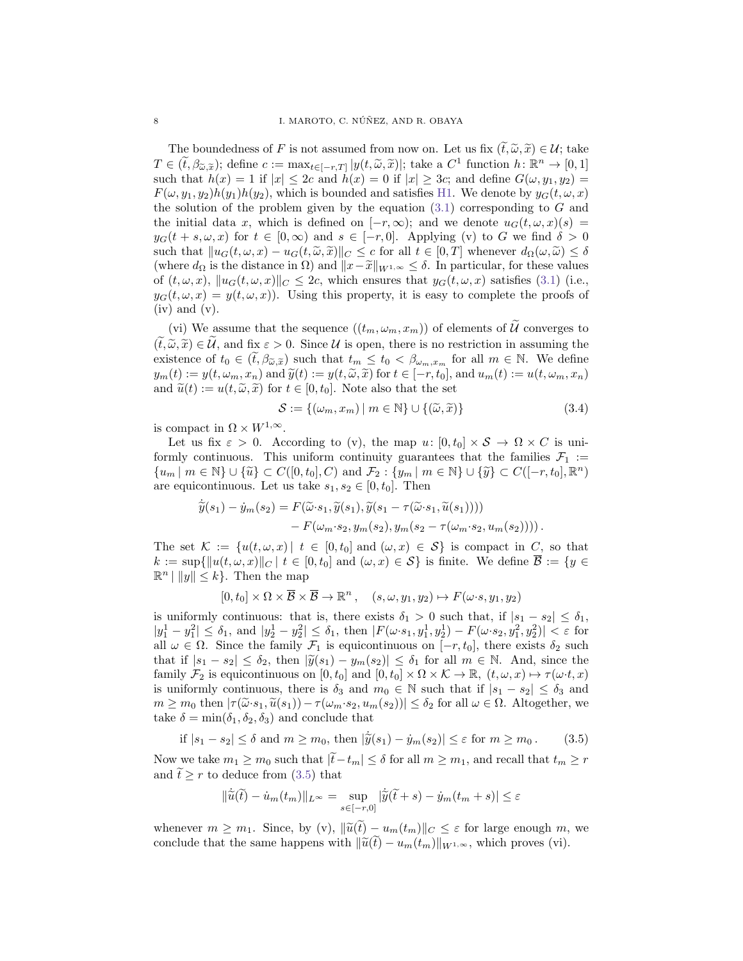The boundedness of F is not assumed from now on. Let us fix  $(t, \tilde{\omega}, \tilde{x}) \in \mathcal{U}$ ; take  $T \in (\tilde{t}, \beta_{\tilde{\omega}, \tilde{x}});$  define  $c := \max_{t \in [-r,T]} |y(t, \tilde{\omega}, \tilde{x})|$ ; take a  $C^1$  function  $h: \mathbb{R}^n \to [0,1]$ <br>such that  $h(x) = 1$  if  $|x| \leq 2c$  and  $h(x) = 0$  if  $|x| \geq 3c$ ; and define  $C(\omega, u_1, u_2) =$ such that  $h(x) = 1$  if  $|x| \leq 2c$  and  $h(x) = 0$  if  $|x| \geq 3c$ ; and define  $G(\omega, y_1, y_2) =$  $F(\omega, y_1, y_2)h(y_1)h(y_2)$ , which is bounded and satisfies [H1.](#page-4-3) We denote by  $y_G(t, \omega, x)$ the solution of the problem given by the equation  $(3.1)$  corresponding to G and the initial data x, which is defined on  $[-r, \infty)$ ; and we denote  $u_G(t, \omega, x)(s) =$  $y_G(t + s, \omega, x)$  for  $t \in [0, \infty)$  and  $s \in [-r, 0]$ . Applying (v) to G we find  $\delta > 0$ such that  $||u_G(t, \omega, x) - u_G(t, \tilde{\omega}, \tilde{x})||_C \leq c$  for all  $t \in [0, T]$  whenever  $d_{\Omega}(\omega, \tilde{\omega}) \leq \delta$ (where  $d_{\Omega}$  is the distance in  $\Omega$ ) and  $||x-\tilde{x}||_{W^{1,\infty}} \leq \delta$ . In particular, for these values of  $(t, \omega, x)$ ,  $||u_G(t, \omega, x)||_C \leq 2c$ , which ensures that  $y_G(t, \omega, x)$  satisfies [\(3.1\)](#page-4-2) (i.e.,  $y_G(t, \omega, x) = y(t, \omega, x)$ . Using this property, it is easy to complete the proofs of  $(iv)$  and  $(v)$ .

(vi) We assume that the sequence  $((t_m, \omega_m, x_m))$  of elements of  $\mathcal{U}$  converges to  $(\tilde{t}, \tilde{\omega}, \tilde{x}) \in \tilde{\mathcal{U}}$ , and fix  $\varepsilon > 0$ . Since  $\mathcal{U}$  is open, there is no restriction in assuming the existence of  $t_0 \in (\tilde{t}, \beta_{\tilde{\omega}, \tilde{x}})$  such that  $t_m \leq t_0 < \beta_{\omega_m, x_m}$  for all  $m \in \mathbb{N}$ . We define  $y_m(t) := y(t, \omega_m, x_n)$  and  $\widetilde{y}(t) := y(t, \widetilde{\omega}, \widetilde{x})$  for  $t \in [-r, t_0]$ , and  $u_m(t) := u(t, \omega_m, x_n)$ and  $\tilde{u}(t) := u(t, \tilde{\omega}, \tilde{x})$  for  $t \in [0, t_0]$ . Note also that the set

<span id="page-7-1"></span>
$$
\mathcal{S} := \{ (\omega_m, x_m) \mid m \in \mathbb{N} \} \cup \{ (\widetilde{\omega}, \widetilde{x}) \}
$$
\n(3.4)

is compact in  $\Omega \times W^{1,\infty}$ .

Let us fix  $\varepsilon > 0$ . According to (v), the map  $u: [0, t_0] \times S \to \Omega \times C$  is uniformly continuous. This uniform continuity guarantees that the families  $\mathcal{F}_1 :=$  ${u_m \mid m \in \mathbb{N}} \cup {\widetilde{u}} \subset C([0, t_0], C)$  and  $\mathcal{F}_2 : {y_m \mid m \in \mathbb{N}} \cup {\widetilde{y}} \subset C([-r, t_0], \mathbb{R}^n)$ are equicontinuous. Let us take  $s_1, s_2 \in [0, t_0]$ . Then

$$
\tilde{\tilde{y}}(s_1) - \dot{y}_m(s_2) = F(\tilde{\omega}\cdot s_1, \tilde{y}(s_1), \tilde{y}(s_1 - \tau(\tilde{\omega}\cdot s_1, \tilde{u}(s_1)))) - F(\omega_m \cdot s_2, y_m(s_2), y_m(s_2 - \tau(\omega_m \cdot s_2, u_m(s_2))))\,.
$$

The set  $\mathcal{K} := \{u(t, \omega, x) | t \in [0, t_0] \text{ and } (\omega, x) \in \mathcal{S}\}\$ is compact in C, so that  $k := \sup\{\|u(t,\omega,x)\|_{C} | t \in [0,t_0] \text{ and } (\omega,x) \in \mathcal{S}\}\$ is finite. We define  $\overline{\mathcal{B}} := \{y \in \mathcal{B}\}$  $\mathbb{R}^n \mid ||y|| \leq k$ . Then the map

$$
[0, t_0] \times \Omega \times \overline{\mathcal{B}} \times \overline{\mathcal{B}} \to \mathbb{R}^n , \quad (s, \omega, y_1, y_2) \mapsto F(\omega \cdot s, y_1, y_2)
$$

is uniformly continuous: that is, there exists  $\delta_1 > 0$  such that, if  $|s_1 - s_2| \leq \delta_1$ ,  $|y_1^1 - y_1^2| \leq \delta_1$ , and  $|y_2^1 - y_2^2| \leq \delta_1$ , then  $|F(\omega \cdot s_1, y_1^1, y_2^1) - F(\omega \cdot s_2, y_1^2, y_2^2)| < \varepsilon$  for all  $\omega \in \Omega$ . Since the family  $\mathcal{F}_1$  is equicontinuous on  $[-r, t_0]$ , there exists  $\delta_2$  such that if  $|s_1 - s_2| \leq \delta_2$ , then  $|\widetilde{y}(s_1) - y_m(s_2)| \leq \delta_1$  for all  $m \in \mathbb{N}$ . And, since the family  $\mathcal{F}_2$  is equicontinuous on  $[0, t_0]$  and  $[0, t_0] \times \Omega \times \mathcal{K} \to \mathbb{R}$ ,  $(t, \omega, x) \mapsto \tau(\omega \cdot t, x)$ is uniformly continuous, there is  $\delta_3$  and  $m_0 \in \mathbb{N}$  such that if  $|s_1 - s_2| \leq \delta_3$  and  $m \geq m_0$  then  $|\tau(\tilde{\omega} \cdot s_1, \tilde{u}(s_1)) - \tau(\omega_m \cdot s_2, u_m(s_2))| \leq \delta_2$  for all  $\omega \in \Omega$ . Altogether, we take  $\delta = \min(\delta_1, \delta_2, \delta_3)$  and conclude that

<span id="page-7-0"></span>if 
$$
|s_1 - s_2| \le \delta
$$
 and  $m \ge m_0$ , then  $|\tilde{y}(s_1) - \dot{y}_m(s_2)| \le \varepsilon$  for  $m \ge m_0$ . (3.5)

Now we take  $m_1 \geq m_0$  such that  $|\tilde{t}-t_m| \leq \delta$  for all  $m \geq m_1$ , and recall that  $t_m \geq r$ and  $\widetilde{t} \geq r$  to deduce from [\(3.5\)](#page-7-0) that

$$
\|\dot{\tilde{u}}(\tilde{t}) - \dot{u}_m(t_m)\|_{L^\infty} = \sup_{s \in [-r,0]} |\dot{\tilde{y}}(\tilde{t} + s) - \dot{y}_m(t_m + s)| \le \varepsilon
$$

whenever  $m \geq m_1$ . Since, by (v),  $\|\widetilde{u}(\widetilde{t}) - u_m(t_m)\|_C \leq \varepsilon$  for large enough m, we conclude that the same happens with  $\|\widetilde{u}(t) - u_m(t_m)\|_{W^{1,\infty}}$ , which proves (vi).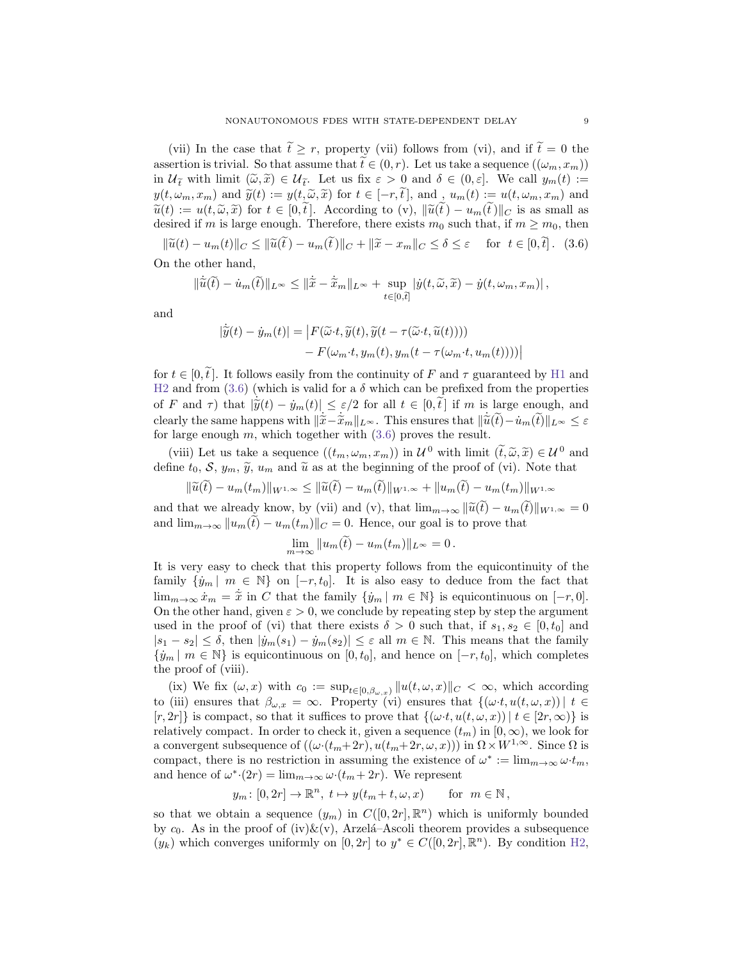(vii) In the case that  $\tilde{t} \geq r$ , property (vii) follows from (vi), and if  $\tilde{t} = 0$  the assertion is trivial. So that assume that  $\tilde{t} \in (0, r)$ . Let us take a sequence  $((\omega_m, x_m))$ in  $\mathcal{U}_{\tilde{t}}$  with limit  $(\tilde{\omega}, \tilde{x}) \in \mathcal{U}_{\tilde{t}}$ . Let us fix  $\varepsilon > 0$  and  $\delta \in (0, \varepsilon]$ . We call  $y_m(t) :=$ <br> $y_n(t) := x_n)$  and  $\tilde{y}(t) := y(t, \tilde{t})$  for  $t \in [0, \tilde{t}]$  and  $y_m(t) := y(t, t, \tilde{t})$  and  $y(t, \omega_m, x_m)$  and  $\tilde{y}(t) := y(t, \tilde{\omega}, \tilde{x})$  for  $t \in [-r, \tilde{t}],$  and ,  $u_m(t) := u(t, \omega_m, x_m)$  and  $\tilde{u}(t) := u(t, \tilde{\omega}, \tilde{x})$  for  $t \in [0, \tilde{t}]$ . According to (v),  $\|\tilde{u}(t) - u_m(t)\|_C$  is as small as desired if m is large enough. Therefore, there exists  $m_0$  such that, if  $m \geq m_0$ , then

<span id="page-8-0"></span> $\|\widetilde{u}(t) - u_m(t)\|_C \le \|\widetilde{u}(\widetilde{t}) - u_m(\widetilde{t})\|_C + \|\widetilde{x} - x_m\|_C \le \delta \le \varepsilon \quad \text{ for } t \in [0, \widetilde{t}]$ . (3.6) On the other hand,

$$
\|\dot{\tilde{u}}(\tilde{t}) - \dot{u}_m(\tilde{t})\|_{L^\infty} \le \|\dot{\tilde{x}} - \dot{\tilde{x}}_m\|_{L^\infty} + \sup_{t \in [0,\tilde{t}]} |\dot{y}(t,\tilde{\omega},\tilde{x}) - \dot{y}(t,\omega_m,x_m)|,
$$

and

$$
|\dot{\tilde{y}}(t) - \dot{y}_m(t)| = |F(\tilde{\omega} \cdot t, \tilde{y}(t), \tilde{y}(t - \tau(\tilde{\omega} \cdot t, \tilde{u}(t)))) - F(\omega_m \cdot t, y_m(t), y_m(t - \tau(\omega_m \cdot t, u_m(t))))|
$$

for  $t \in [0, \tilde{t}]$ . It follows easily from the continuity of F and  $\tau$  guaranteed by [H1](#page-4-3) and [H2](#page-4-1) and from  $(3.6)$  (which is valid for a  $\delta$  which can be prefixed from the properties of F and  $\tau$ ) that  $|\tilde{\tilde{y}}(t) - \dot{y}_m(t)| \leq \varepsilon/2$  for all  $t \in [0, \tilde{t}]$  if m is large enough, and<br>cloculately the same hannons with  $\|\tilde{\tilde{x}}\| \approx \tilde{x} - \|$ . This ansumes that  $\|\tilde{x}(\tilde{\lambda}) - \dot{x}(\tilde{\lambda})\| \leq \varepsilon$ clearly the same happens with  $\|\tilde{x}-\tilde{x}_m\|_{L^{\infty}}$ . This ensures that  $\|\tilde{u}(\tilde{t})-\tilde{u}_m(\tilde{t})\|_{L^{\infty}} \leq \varepsilon$  for large enough  $m$ , which together with  $(3,6)$  proves the result for large enough  $m$ , which together with  $(3.6)$  proves the result.

(viii) Let us take a sequence  $((t_m, \omega_m, x_m))$  in  $\mathcal{U}^0$  with limit  $(\tilde{t}, \tilde{\omega}, \tilde{x}) \in \mathcal{U}^0$  and<br>sine to  $S, \mathcal{U}$ ,  $\tilde{\omega}$ ,  $\tilde{u}$ , and  $\tilde{\omega}$  as at the beginning of the proof of (vi). Note that define  $t_0$ , S,  $y_m$ ,  $\tilde{y}$ ,  $u_m$  and  $\tilde{u}$  as at the beginning of the proof of (vi). Note that

$$
\|\widetilde{u}(t) - u_m(t_m)\|_{W^{1,\infty}} \le \|\widetilde{u}(t) - u_m(t)\|_{W^{1,\infty}} + \|u_m(t) - u_m(t_m)\|_{W^{1,\infty}}
$$

and that we already know, by (vii) and (v), that  $\lim_{m\to\infty} ||\widetilde{u}(t) - u_m(t)||_{W^{1,\infty}} = 0$ and  $\lim_{m\to\infty} ||u_m(\tilde{t}) - u_m(t_m)||_C = 0$ . Hence, our goal is to prove that

$$
\lim_{m \to \infty} ||u_m(\tilde{t}) - u_m(t_m)||_{L^{\infty}} = 0.
$$

It is very easy to check that this property follows from the equicontinuity of the family  $\{y_m \mid m \in \mathbb{N}\}\$  on  $[-r, t_0]$ . It is also easy to deduce from the fact that  $\lim_{m\to\infty} \dot{x}_m = \tilde{x}$  in C that the family  $\{\dot{y}_m \mid m \in \mathbb{N}\}\$ is equicontinuous on  $[-r, 0].$ On the other hand, given  $\varepsilon > 0$ , we conclude by repeating step by step the argument used in the proof of (vi) that there exists  $\delta > 0$  such that, if  $s_1, s_2 \in [0, t_0]$  and  $|s_1 - s_2| \leq \delta$ , then  $|\dot{y}_m(s_1) - \dot{y}_m(s_2)| \leq \varepsilon$  all  $m \in \mathbb{N}$ . This means that the family  $\{\dot{y}_m \mid m \in \mathbb{N}\}\$ is equicontinuous on  $[0, t_0]$ , and hence on  $[-r, t_0]$ , which completes the proof of (viii).

(ix) We fix  $(\omega, x)$  with  $c_0 := \sup_{t \in [0, \beta_{\omega, x})} ||u(t, \omega, x)||_C < \infty$ , which according to (iii) ensures that  $\beta_{\omega,x} = \infty$ . Property (vi) ensures that  $\{(\omega \cdot t, u(t, \omega, x)) \mid t \in$  $[r, 2r]$  is compact, so that it suffices to prove that  $\{(\omega \cdot t, u(t, \omega, x)) | t \in [2r, \infty)\}\$ relatively compact. In order to check it, given a sequence  $(t_m)$  in  $[0, \infty)$ , we look for a convergent subsequence of  $((\omega \cdot (t_m + 2r), u(t_m + 2r, \omega, x)))$  in  $\Omega \times W^{1,\infty}$ . Since  $\Omega$  is compact, there is no restriction in assuming the existence of  $\omega^* := \lim_{m \to \infty} \omega \cdot t_m$ , and hence of  $\omega^*(2r) = \lim_{m \to \infty} \omega \cdot (t_m + 2r)$ . We represent

$$
y_m: [0, 2r] \to \mathbb{R}^n
$$
,  $t \mapsto y(t_m + t, \omega, x)$  for  $m \in \mathbb{N}$ ,

so that we obtain a sequence  $(y_m)$  in  $C([0, 2r], \mathbb{R}^n)$  which is uniformly bounded by  $c_0$ . As in the proof of (iv) $\&mathbf{x}(v)$ , Arzelá–Ascoli theorem provides a subsequence  $(y_k)$  which converges uniformly on  $[0, 2r]$  to  $y^* \in C([0, 2r], \mathbb{R}^n)$ . By condition [H2,](#page-4-1)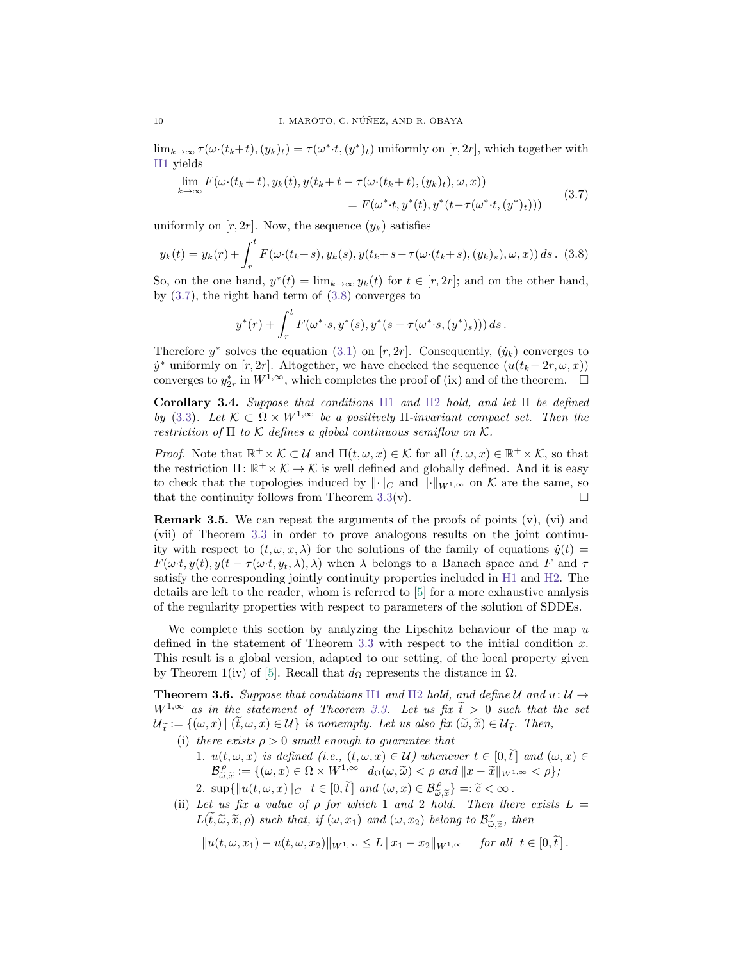$\lim_{k\to\infty}\tau(\omega\cdot(t_k+t),(y_k)_t)=\tau(\omega^*\cdot t,(y^*)_t)$  uniformly on  $[r,2r]$ , which together with [H1](#page-4-3) yields

<span id="page-9-0"></span>
$$
\lim_{k \to \infty} F(\omega \cdot (t_k + t), y_k(t), y(t_k + t - \tau(\omega \cdot (t_k + t), (y_k)_t), \omega, x))
$$
\n
$$
= F(\omega^* \cdot t, y^*(t), y^*(t - \tau(\omega^* \cdot t, (y^*)_t)))
$$
\n(3.7)

uniformly on  $[r, 2r]$ . Now, the sequence  $(y_k)$  satisfies

<span id="page-9-1"></span>
$$
y_k(t) = y_k(r) + \int_r^t F(\omega \cdot (t_k + s), y_k(s), y(t_k + s - \tau(\omega \cdot (t_k + s), (y_k)_s), \omega, x)) ds. \tag{3.8}
$$

So, on the one hand,  $y^*(t) = \lim_{k \to \infty} y_k(t)$  for  $t \in [r, 2r]$ ; and on the other hand, by  $(3.7)$ , the right hand term of  $(3.8)$  converges to

$$
y^*(r)
$$
 +  $\int_r^t F(\omega^* \cdot s, y^*(s), y^*(s - \tau(\omega^* \cdot s, (y^*)_s))) ds$ .

Therefore  $y^*$  solves the equation [\(3.1\)](#page-4-2) on [r, 2r]. Consequently,  $(\dot{y}_k)$  converges to  $\dot{y}^*$  uniformly on  $[r, 2r]$ . Altogether, we have checked the sequence  $(u(t_k + 2r, \omega, x))$ converges to  $y_{2r}^*$  in  $W^{1,\infty}$ , which completes the proof of (ix) and of the theorem.  $\Box$ 

<span id="page-9-3"></span>Corollary 3.4. Suppose that conditions [H1](#page-4-3) and [H2](#page-4-1) hold, and let Π be defined by [\(3.3\)](#page-5-2). Let  $\mathcal{K} \subset \Omega \times W^{1,\infty}$  be a positively  $\Pi$ -invariant compact set. Then the restriction of  $\Pi$  to  $K$  defines a global continuous semiflow on  $K$ .

*Proof.* Note that  $\mathbb{R}^+ \times \mathcal{K} \subset \mathcal{U}$  and  $\Pi(t,\omega,x) \in \mathcal{K}$  for all  $(t,\omega,x) \in \mathbb{R}^+ \times \mathcal{K}$ , so that the restriction  $\Pi: \mathbb{R}^+ \times \mathcal{K} \to \mathcal{K}$  is well defined and globally defined. And it is easy to check that the topologies induced by  $\|\cdot\|_C$  and  $\|\cdot\|_{W^{1,\infty}}$  on K are the same, so that the continuity follows from Theorem [3.3\(](#page-5-0)v).  $\square$ 

Remark 3.5. We can repeat the arguments of the proofs of points (v), (vi) and (vii) of Theorem [3.3](#page-5-0) in order to prove analogous results on the joint continuity with respect to  $(t, \omega, x, \lambda)$  for the solutions of the family of equations  $\dot{y}(t)$  =  $F(\omega t, y(t), y(t - \tau(\omega t, y_t, \lambda), \lambda)$  when  $\lambda$  belongs to a Banach space and F and  $\tau$ satisfy the corresponding jointly continuity properties included in [H1](#page-4-3) and [H2.](#page-4-1) The details are left to the reader, whom is referred to [\[5\]](#page-22-5) for a more exhaustive analysis of the regularity properties with respect to parameters of the solution of SDDEs.

We complete this section by analyzing the Lipschitz behaviour of the map  $u$ defined in the statement of Theorem [3.3](#page-5-0) with respect to the initial condition  $x$ . This result is a global version, adapted to our setting, of the local property given by Theorem 1(iv) of [\[5\]](#page-22-5). Recall that  $d<sub>Ω</sub>$  represents the distance in  $Ω$ .

<span id="page-9-2"></span>**Theorem 3.6.** Suppose that conditions [H1](#page-4-3) and [H2](#page-4-1) hold, and define U and  $u: U \rightarrow$  $W^{1,\infty}$  as in the statement of Theorem [3.3.](#page-5-0) Let us fix  $\tilde{t} > 0$  such that the set  $\mathcal{U}_{\tilde{t}} := \{(\omega, x) \mid (t, \omega, x) \in \mathcal{U}\}\$ is nonempty. Let us also fix  $(\tilde{\omega}, \tilde{x}) \in \mathcal{U}_{\tilde{t}}\$ . Then,

- (i) there exists  $\rho > 0$  small enough to guarantee that
	- 1.  $u(t, \omega, x)$  is defined (i.e.,  $(t, \omega, x) \in U$ ) whenever  $t \in [0, \tilde{t}]$  and  $(\omega, x) \in$ <br>  $\mathcal{B}_{\omega, \tilde{x}}^{\rho} := \{(\omega, x) \in \Omega \times W^{1, \infty} \mid d_{\Omega}(\omega, \tilde{\omega}) < \rho \text{ and } ||x \tilde{x}||_{W^{1, \infty}} < \rho\};$ 2.  $\sup{\{\Vert u(t,\omega,x)\Vert_{C} \mid t \in [0,\tilde{t}\] \text{ and } (\omega,x) \in \mathcal{B}_{\omega,\tilde{x}}^{\rho}\} =:\tilde{c}<\infty.$ <br>Let us for a value of a for which 1 and 2 hold. Then the
- (ii) Let us fix a value of  $\rho$  for which 1 and 2 hold. Then there exists  $L =$  $L(\widetilde{t},\widetilde{\omega},\widetilde{x},\rho)$  such that, if  $(\omega,x_1)$  and  $(\omega,x_2)$  belong to  $\mathcal{B}^{\rho}_{\widetilde{\omega},\widetilde{x}},$  then

$$
||u(t, \omega, x_1) - u(t, \omega, x_2)||_{W^{1,\infty}} \le L ||x_1 - x_2||_{W^{1,\infty}} \text{ for all } t \in [0, \tilde{t}].
$$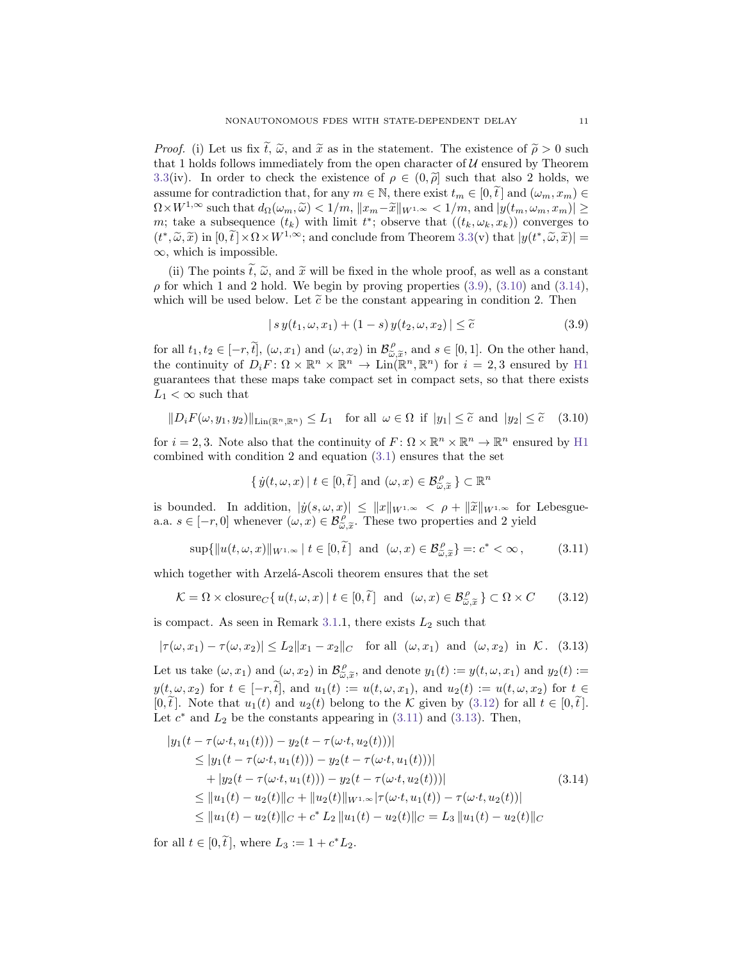*Proof.* (i) Let us fix  $\tilde{t}$ ,  $\tilde{\omega}$ , and  $\tilde{x}$  as in the statement. The existence of  $\tilde{\rho} > 0$  such that 1 holds follows immediately from the open character of  $\mathcal U$  ensured by Theorem [3.3\(](#page-5-0)iv). In order to check the existence of  $\rho \in (0, \tilde{\rho}]$  such that also 2 holds, we assume for contradiction that, for any  $m \in \mathbb{N}$ , there exist  $t_m \in [0, \tilde{t}]$  and  $(\omega_m, x_m) \in$  $\Omega\times W^{1,\infty} \text{ such that } d_{\Omega}(\omega_m,\widetilde{\omega})<1/m,\, \|x_m-\widetilde{x}\|_{W^{1,\infty}}<1/m, \, \text{and } |y(t_m,\omega_m,x_m)|\geq$ m; take a subsequence  $(t_k)$  with limit  $t^*$ ; observe that  $((t_k, \omega_k, x_k))$  converges to  $(t^*, \tilde{\omega}, \tilde{x})$  in  $[0, \tilde{t}] \times \Omega \times W^{1,\infty}$ ; and conclude from Theorem [3.3\(](#page-5-0)v) that  $|y(t^*, \tilde{\omega}, \tilde{x})| = \infty$ , which is impossible.  $\infty$ , which is impossible.

(ii) The points  $\tilde{t}$ ,  $\tilde{\omega}$ , and  $\tilde{x}$  will be fixed in the whole proof, as well as a constant  $\rho$  for which 1 and 2 hold. We begin by proving properties [\(3.9\)](#page-10-0), [\(3.10\)](#page-10-1) and [\(3.14\)](#page-10-2), which will be used below. Let  $\tilde{c}$  be the constant appearing in condition 2. Then

<span id="page-10-0"></span>
$$
|s y(t_1, \omega, x_1) + (1 - s) y(t_2, \omega, x_2)| \le \tilde{c}
$$
\n(3.9)

for all  $t_1, t_2 \in [-r, \tilde{t}], (\omega, x_1)$  and  $(\omega, x_2)$  in  $\mathcal{B}_{\tilde{\omega}, \tilde{x}}^{\rho}$ , and  $s \in [0, 1]$ . On the other hand, to an  $i_1, i_2 \in [-i, i], (\omega, x_1)$  and  $(\omega, x_2)$  in  $\mathcal{D}_{\widetilde{\omega}, \widetilde{x}}$ , and  $s \in [0, 1]$ . On the other hand,<br>the continuity of  $D_i F : \Omega \times \mathbb{R}^n \times \mathbb{R}^n \to \text{Lin}(\mathbb{R}^n, \mathbb{R}^n)$  for  $i = 2, 3$  ensured by [H1](#page-4-3) guarantees that these maps take compact set in compact sets, so that there exists  $L_1 < \infty$  such that

<span id="page-10-1"></span>
$$
||D_i F(\omega, y_1, y_2)||_{\text{Lin}(\mathbb{R}^n, \mathbb{R}^n)} \le L_1 \quad \text{for all } \omega \in \Omega \text{ if } |y_1| \le \tilde{c} \text{ and } |y_2| \le \tilde{c} \quad (3.10)
$$

for  $i = 2, 3$ . Note also that the continuity of  $F: \Omega \times \mathbb{R}^n \times \mathbb{R}^n \to \mathbb{R}^n$  ensured by [H1](#page-4-3) combined with condition 2 and equation [\(3.1\)](#page-4-2) ensures that the set

$$
\{ \dot{y}(t,\omega,x) \mid t \in [0,\tilde{t}] \text{ and } (\omega,x) \in \mathcal{B}_{\tilde{\omega},\tilde{x}}^{\rho} \} \subset \mathbb{R}^n
$$

is bounded. In addition,  $|\dot{y}(s,\omega,x)| \leq ||x||_{W^{1,\infty}} < \rho + ||\widetilde{x}||_{W^{1,\infty}}$  for Lebesguea.a.  $s \in [-r, 0]$  whenever  $(\omega, x) \in \mathcal{B}_{\tilde{\omega}, \tilde{x}}^{\rho}$ . These two properties and 2 yield

<span id="page-10-4"></span>
$$
\sup\{\|u(t,\omega,x)\|_{W^{1,\infty}}\mid t\in[0,\tilde{t}\}\text{ and }(\omega,x)\in\mathcal{B}_{\tilde{\omega},\tilde{x}}^{\rho}\}=:c^{\ast}<\infty\,,\tag{3.11}
$$

which together with Arzelá-Ascoli theorem ensures that the set

<span id="page-10-3"></span>
$$
\mathcal{K} = \Omega \times \text{closure}_{C} \{ u(t, \omega, x) \mid t \in [0, \tilde{t}] \text{ and } (\omega, x) \in \mathcal{B}_{\tilde{\omega}, \tilde{x}}^{\rho} \} \subset \Omega \times C \qquad (3.12)
$$

is compact. As seen in Remark [3.1.](#page-4-4)1, there exists  $L_2$  such that

<span id="page-10-5"></span>
$$
|\tau(\omega, x_1) - \tau(\omega, x_2)| \le L_2 \|x_1 - x_2\|_C \quad \text{for all } (\omega, x_1) \text{ and } (\omega, x_2) \text{ in } \mathcal{K}. \tag{3.13}
$$

Let us take  $(\omega, x_1)$  and  $(\omega, x_2)$  in  $\mathcal{B}_{\tilde{\omega}, \tilde{x}}^{\rho}$ , and denote  $y_1(t) := y(t, \omega, x_1)$  and  $y_2(t) :=$  $y(t, \omega, x_2)$  for  $t \in [-r, \tilde{t}],$  and  $u_1(t) := u(t, \omega, x_1),$  and  $u_2(t) := u(t, \omega, x_2)$  for  $t \in$ [0,  $\tilde{t}$ ]. Note that  $u_1(t)$  and  $u_2(t)$  belong to the K given by [\(3.12\)](#page-10-3) for all  $t \in [0, \tilde{t}]$ . Let  $c^*$  and  $L_2$  be the constants appearing in [\(3.11\)](#page-10-4) and [\(3.13\)](#page-10-5). Then,

<span id="page-10-2"></span>
$$
|y_1(t - \tau(\omega \cdot t, u_1(t))) - y_2(t - \tau(\omega \cdot t, u_2(t)))|
$$
  
\n
$$
\leq |y_1(t - \tau(\omega \cdot t, u_1(t))) - y_2(t - \tau(\omega \cdot t, u_1(t)))|
$$
  
\n
$$
+ |y_2(t - \tau(\omega \cdot t, u_1(t))) - y_2(t - \tau(\omega \cdot t, u_2(t)))|
$$
  
\n
$$
\leq ||u_1(t) - u_2(t)||_C + ||u_2(t)||_{W^{1,\infty}} |\tau(\omega \cdot t, u_1(t)) - \tau(\omega \cdot t, u_2(t))|
$$
  
\n
$$
\leq ||u_1(t) - u_2(t)||_C + c^* L_2 ||u_1(t) - u_2(t)||_C = L_3 ||u_1(t) - u_2(t)||_C
$$
\n(3.14)

for all  $t \in [0, \tilde{t}],$  where  $L_3 := 1 + c^* L_2.$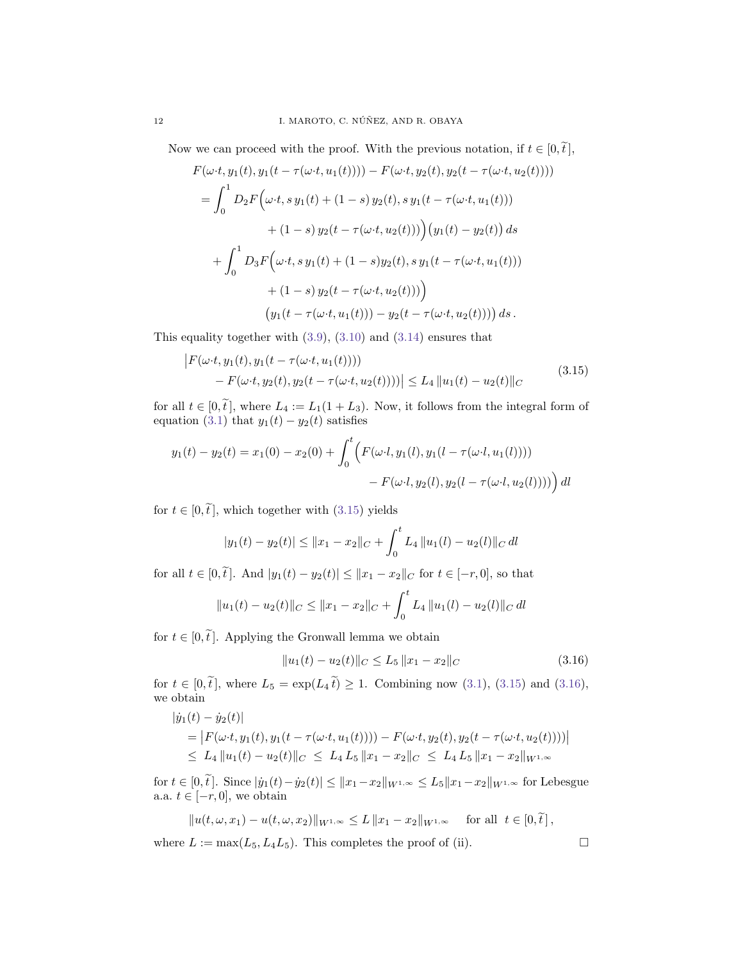Now we can proceed with the proof. With the previous notation, if  $t \in [0, \tilde{t}],$ 

$$
F(\omega \cdot t, y_1(t), y_1(t - \tau(\omega \cdot t, u_1(t)))) - F(\omega \cdot t, y_2(t), y_2(t - \tau(\omega \cdot t, u_2(t))))
$$
  
\n
$$
= \int_0^1 D_2 F(\omega \cdot t, s y_1(t) + (1 - s) y_2(t), s y_1(t - \tau(\omega \cdot t, u_1(t)))
$$
  
\n
$$
+ (1 - s) y_2(t - \tau(\omega \cdot t, u_2(t))) (y_1(t) - y_2(t)) ds
$$
  
\n
$$
+ \int_0^1 D_3 F(\omega \cdot t, s y_1(t) + (1 - s) y_2(t), s y_1(t - \tau(\omega \cdot t, u_1(t)))
$$
  
\n
$$
+ (1 - s) y_2(t - \tau(\omega \cdot t, u_2(t)))
$$
  
\n
$$
(y_1(t - \tau(\omega \cdot t, u_1(t))) - y_2(t - \tau(\omega \cdot t, u_2(t)))) ds.
$$

<span id="page-11-0"></span>This equality together with [\(3.9\)](#page-10-0), [\(3.10\)](#page-10-1) and [\(3.14\)](#page-10-2) ensures that

$$
\begin{aligned} \left| F(\omega \cdot t, y_1(t), y_1(t - \tau(\omega \cdot t, u_1(t)))) \\ &- F(\omega \cdot t, y_2(t), y_2(t - \tau(\omega \cdot t, u_2(t)))) \right| &\leq L_4 \, \|u_1(t) - u_2(t)\|_C \end{aligned} \tag{3.15}
$$

for all  $t \in [0, \tilde{t}]$ , where  $L_4 := L_1(1 + L_3)$ . Now, it follows from the integral form of equation [\(3.1\)](#page-4-2) that  $y_1(t) - y_2(t)$  satisfies

$$
y_1(t) - y_2(t) = x_1(0) - x_2(0) + \int_0^t \left( F(\omega \cdot l, y_1(l), y_1(l - \tau(\omega \cdot l, u_1(l)))) - F(\omega \cdot l, y_2(l), y_2(l - \tau(\omega \cdot l, u_2(l)))) \right) dl
$$

for  $t \in [0, \tilde{t}]$ , which together with [\(3.15\)](#page-11-0) yields

$$
|y_1(t) - y_2(t)| \le ||x_1 - x_2||_C + \int_0^t L_4 ||u_1(l) - u_2(l)||_C dl
$$

for all  $t \in [0, \tilde{t}]$ . And  $|y_1(t) - y_2(t)| \leq ||x_1 - x_2||_C$  for  $t \in [-r, 0]$ , so that

$$
||u_1(t) - u_2(t)||_C \le ||x_1 - x_2||_C + \int_0^t L_4 ||u_1(l) - u_2(l)||_C dl
$$

for  $t \in [0, \tilde{t}]$ . Applying the Gronwall lemma we obtain

<span id="page-11-1"></span>
$$
||u_1(t) - u_2(t)||_C \le L_5 ||x_1 - x_2||_C
$$
\n(3.16)

for  $t \in [0, \tilde{t}]$ , where  $L_5 = \exp(L_4 \tilde{t}) \ge 1$ . Combining now [\(3.1\)](#page-4-2), [\(3.15\)](#page-11-0) and [\(3.16\)](#page-11-1), we obtain

$$
|\dot{y}_1(t) - \dot{y}_2(t)|
$$
  
=  $|F(\omega \cdot t, y_1(t), y_1(t - \tau(\omega \cdot t, u_1(t)))) - F(\omega \cdot t, y_2(t), y_2(t - \tau(\omega \cdot t, u_2(t))))|$   
 $\leq L_4 ||u_1(t) - u_2(t)||_C \leq L_4 L_5 ||x_1 - x_2||_C \leq L_4 L_5 ||x_1 - x_2||_{W^{1,\infty}}$ 

for  $t \in [0, \tilde{t}]$ . Since  $|\dot{y}_1(t) - \dot{y}_2(t)| \leq ||x_1 - x_2||_{W^{1,\infty}} \leq L_5||x_1 - x_2||_{W^{1,\infty}}$  for Lebesgue a.a.  $t \in [-r, 0]$ , we obtain

$$
||u(t, \omega, x_1) - u(t, \omega, x_2)||_{W^{1,\infty}} \le L ||x_1 - x_2||_{W^{1,\infty}} \quad \text{for all} \ \ t \in [0, \tilde{t}],
$$

where  $L := \max(L_5, L_4L_5)$ . This completes the proof of (ii).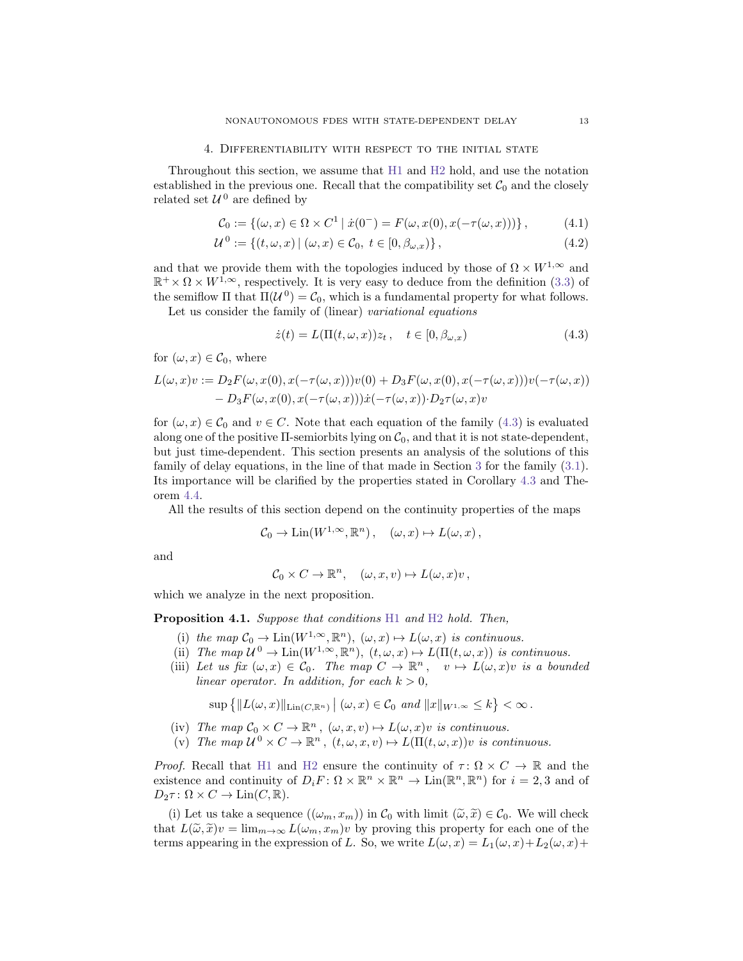#### 4. Differentiability with respect to the initial state

<span id="page-12-0"></span>Throughout this section, we assume that [H1](#page-4-3) and [H2](#page-4-1) hold, and use the notation established in the previous one. Recall that the compatibility set  $C_0$  and the closely related set  $\mathcal{U}^0$  are defined by

$$
\mathcal{C}_0 := \{ (\omega, x) \in \Omega \times C^1 \mid \dot{x}(0^-) = F(\omega, x(0), x(-\tau(\omega, x))) \},\tag{4.1}
$$

$$
\mathcal{U}^{0} := \{ (t, \omega, x) \mid (\omega, x) \in \mathcal{C}_{0}, \ t \in [0, \beta_{\omega, x}) \},\tag{4.2}
$$

and that we provide them with the topologies induced by those of  $\Omega \times W^{1,\infty}$  and  $\mathbb{R}^+ \times \Omega \times W^{1,\infty}$ , respectively. It is very easy to deduce from the definition [\(3.3\)](#page-5-2) of the semiflow  $\Pi$  that  $\Pi(\mathcal{U}^0) = \mathcal{C}_0$ , which is a fundamental property for what follows.

Let us consider the family of (linear) variational equations

<span id="page-12-4"></span><span id="page-12-3"></span><span id="page-12-1"></span>
$$
\dot{z}(t) = L(\Pi(t, \omega, x))z_t, \quad t \in [0, \beta_{\omega, x})
$$
\n(4.3)

for  $(\omega, x) \in \mathcal{C}_0$ , where

$$
L(\omega, x)v := D_2 F(\omega, x(0), x(-\tau(\omega, x)))v(0) + D_3 F(\omega, x(0), x(-\tau(\omega, x)))v(-\tau(\omega, x))
$$
  
- 
$$
D_3 F(\omega, x(0), x(-\tau(\omega, x)))\dot{x}(-\tau(\omega, x)) \cdot D_2 \tau(\omega, x)v
$$

for  $(\omega, x) \in C_0$  and  $v \in C$ . Note that each equation of the family  $(4.3)$  is evaluated along one of the positive  $\Pi$ -semiorbits lying on  $\mathcal{C}_0$ , and that it is not state-dependent, but just time-dependent. This section presents an analysis of the solutions of this family of delay equations, in the line of that made in Section [3](#page-4-0) for the family [\(3.1\)](#page-4-2). Its importance will be clarified by the properties stated in Corollary [4.3](#page-16-0) and Theorem [4.4.](#page-17-0)

All the results of this section depend on the continuity properties of the maps

$$
\mathcal{C}_0 \to \mathrm{Lin}(W^{1,\infty}, \mathbb{R}^n) \,, \quad (\omega, x) \mapsto L(\omega, x) \,,
$$

and

$$
\mathcal{C}_0 \times C \to \mathbb{R}^n, \quad (\omega, x, v) \mapsto L(\omega, x)v,
$$

which we analyze in the next proposition.

<span id="page-12-2"></span>Proposition 4.1. Suppose that conditions [H1](#page-4-3) and [H2](#page-4-1) hold. Then,

- (i) the map  $C_0 \to \text{Lin}(W^{1,\infty}, \mathbb{R}^n)$ ,  $(\omega, x) \mapsto L(\omega, x)$  is continuous.
- (ii) The map  $\mathcal{U}^0 \to \text{Lin}(W^{1,\infty}, \mathbb{R}^n)$ ,  $(t, \omega, x) \mapsto L(\Pi(t, \omega, x))$  is continuous.
- (iii) Let us fix  $(\omega, x) \in C_0$ . The map  $C \to \mathbb{R}^n$ ,  $v \mapsto L(\omega, x)v$  is a bounded linear operator. In addition, for each  $k > 0$ ,

$$
\sup\left\{\|L(\omega,x)\|_{\mathrm{Lin}(C,\mathbb{R}^n)}\,\big|\;(\omega,x)\in\mathcal{C}_0\;\,and\;\|x\|_{W^{1,\infty}}\leq k\right\}<\infty\,.
$$

- (iv) The map  $C_0 \times C \to \mathbb{R}^n$ ,  $(\omega, x, v) \mapsto L(\omega, x)v$  is continuous.
- (v) The map  $u^0 \times C \to \mathbb{R}^n$ ,  $(t, \omega, x, v) \mapsto L(\Pi(t, \omega, x))v$  is continuous.

*Proof.* Recall that [H1](#page-4-3) and [H2](#page-4-1) ensure the continuity of  $\tau : \Omega \times C \to \mathbb{R}$  and the existence and continuity of  $D_i F: \Omega \times \mathbb{R}^n \times \mathbb{R}^n \to \text{Lin}(\mathbb{R}^n, \mathbb{R}^n)$  for  $i = 2, 3$  and of  $D_2 \tau : \Omega \times C \to \text{Lin}(C, \mathbb{R}).$ 

(i) Let us take a sequence  $((\omega_m, x_m))$  in  $\mathcal{C}_0$  with limit  $(\widetilde{\omega}, \widetilde{x}) \in \mathcal{C}_0$ . We will check that  $L(\tilde{\omega}, \tilde{x})v = \lim_{m \to \infty} L(\omega_m, x_m)v$  by proving this property for each one of the terms appearing in the expression of L. So, we write  $L(\omega, x) = L_1(\omega, x) + L_2(\omega, x) + L_3(\omega, x)$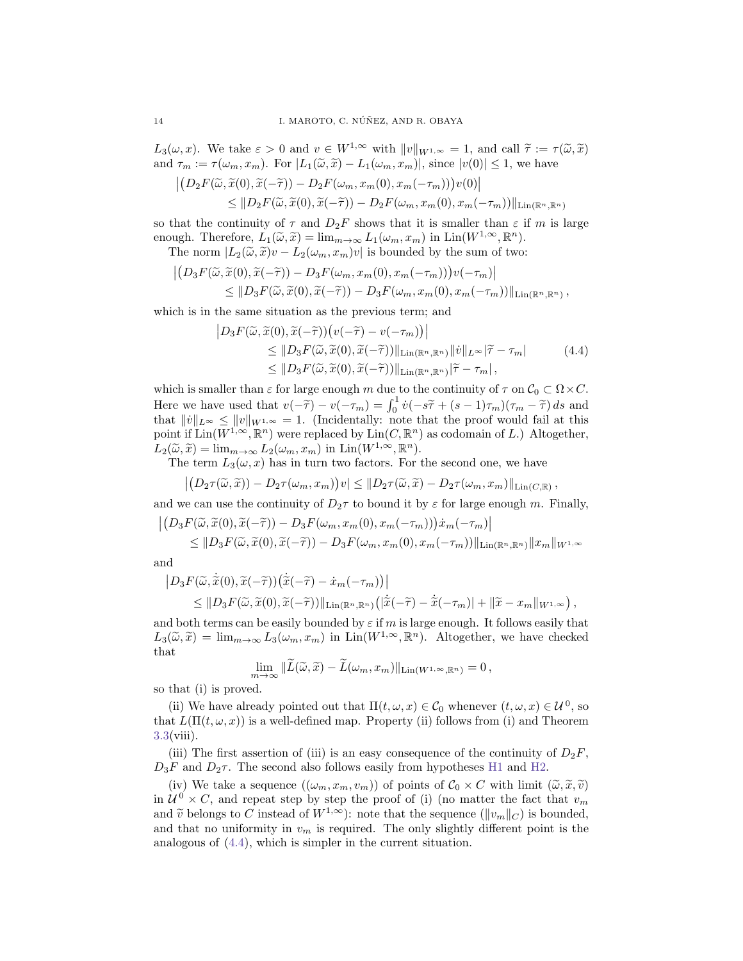$L_3(\omega, x)$ . We take  $\varepsilon > 0$  and  $v \in W^{1,\infty}$  with  $||v||_{W^{1,\infty}} = 1$ , and call  $\tilde{\tau} := \tau(\tilde{\omega}, \tilde{x})$ and  $\tau_m := \tau(\omega_m, x_m)$ . For  $|L_1(\tilde{\omega}, \tilde{x}) - L_1(\omega_m, x_m)|$ , since  $|v(0)| \leq 1$ , we have

$$
\left| \left( D_2 F(\widetilde{\omega}, \widetilde{x}(0), \widetilde{x}(-\widetilde{\tau})) - D_2 F(\omega_m, x_m(0), x_m(-\tau_m)) \right) v(0) \right|
$$
  
\n
$$
\leq \| D_2 F(\widetilde{\omega}, \widetilde{x}(0), \widetilde{x}(-\widetilde{\tau})) - D_2 F(\omega_m, x_m(0), x_m(-\tau_m)) \|_{\text{Lin}(\mathbb{R}^n, \mathbb{R}^n)}
$$

so that the continuity of  $\tau$  and  $D_2F$  shows that it is smaller than  $\varepsilon$  if m is large enough. Therefore,  $L_1(\tilde{\omega}, \tilde{x}) = \lim_{m \to \infty} L_1(\omega_m, x_m)$  in  $\text{Lin}(W^{1,\infty}, \mathbb{R}^n)$ .<br>The norm  $|L_2(\tilde{\omega}, \tilde{x})v - L_1(\omega - x_n)v|$  is bounded by the sum of two

The norm  $|L_2(\tilde{\omega}, \tilde{x})v - L_2(\omega_m, x_m)v|$  is bounded by the sum of two:

$$
\left| \left( D_3 F(\widetilde{\omega}, \widetilde{x}(0), \widetilde{x}(-\widetilde{\tau})) - D_3 F(\omega_m, x_m(0), x_m(-\tau_m)) \right) v(-\tau_m) \right|
$$
  
\$\leq\$ 
$$
\| D_3 F(\widetilde{\omega}, \widetilde{x}(0), \widetilde{x}(-\widetilde{\tau})) - D_3 F(\omega_m, x_m(0), x_m(-\tau_m)) \|_{\text{Lin}(\mathbb{R}^n, \mathbb{R}^n)},
$$

<span id="page-13-0"></span>which is in the same situation as the previous term; and

$$
\left| D_3 F(\widetilde{\omega}, \widetilde{x}(0), \widetilde{x}(-\widetilde{\tau})) \left( v(-\widetilde{\tau}) - v(-\tau_m) \right) \right|
$$
  
\n
$$
\leq \| D_3 F(\widetilde{\omega}, \widetilde{x}(0), \widetilde{x}(-\widetilde{\tau})) \|_{\text{Lin}(\mathbb{R}^n, \mathbb{R}^n)} \| \dot{v} \|_{L^{\infty}} |\widetilde{\tau} - \tau_m|
$$
  
\n
$$
\leq \| D_3 F(\widetilde{\omega}, \widetilde{x}(0), \widetilde{x}(-\widetilde{\tau})) \|_{\text{Lin}(\mathbb{R}^n, \mathbb{R}^n)} |\widetilde{\tau} - \tau_m|,
$$
\n(4.4)

which is smaller than  $\varepsilon$  for large enough m due to the continuity of  $\tau$  on  $C_0 \subset \Omega \times C$ . Here we have used that  $v(-\tilde{\tau}) - v(-\tau_m) = \int_0^1 \dot{v}(-s\tilde{\tau} + (s-1)\tau_m)(\tau_m - \tilde{\tau}) ds$  and<br>that  $\|\dot{v}\|_{\infty} \leq \|v\|_{\infty} = 1$  (Ingidentally, note that the proof would fail at this that  $||\dot{v}||_{L^{\infty}} \leq ||v||_{W^{1,\infty}} = 1$ . (Incidentally: note that the proof would fail at this point if  $\text{Lin}(W^{1,\infty},\mathbb{R}^n)$  were replaced by  $\text{Lin}(C,\mathbb{R}^n)$  as codomain of L.) Altogether,  $L_2(\tilde{\omega}, \tilde{x}) = \lim_{m \to \infty} L_2(\omega_m, x_m)$  in  $\text{Lin}(W^{1,\infty}, \mathbb{R}^n)$ .<br>The term  $L_2(\omega, x)$  has in turn two factors. For i

The term  $L_3(\omega, x)$  has in turn two factors. For the second one, we have

$$
\left| \left(D_2 \tau(\widetilde{\omega}, \widetilde{x})\right) - D_2 \tau(\omega_m, x_m)\right)v \right| \leq \|D_2 \tau(\widetilde{\omega}, \widetilde{x}) - D_2 \tau(\omega_m, x_m)\|_{\text{Lin}(C, \mathbb{R})},
$$

and we can use the continuity of  $D_2\tau$  to bound it by  $\varepsilon$  for large enough m. Finally,

$$
\left| \left( D_3 F(\widetilde{\omega}, \widetilde{x}(0), \widetilde{x}(-\widetilde{\tau})) - D_3 F(\omega_m, x_m(0), x_m(-\tau_m)) \right) \dot{x}_m(-\tau_m) \right|
$$
  
\n
$$
\leq \| D_3 F(\widetilde{\omega}, \widetilde{x}(0), \widetilde{x}(-\widetilde{\tau})) - D_3 F(\omega_m, x_m(0), x_m(-\tau_m)) \|_{\mathrm{Lin}(\mathbb{R}^n, \mathbb{R}^n)} \| x_m \|_{W^{1,\infty}}
$$

 $\mathbf{a}$ 

$$
\left| D_3 F(\widetilde{\omega}, \dot{\widetilde{x}}(0), \widetilde{x}(-\widetilde{\tau})) (\dot{\widetilde{x}}(-\widetilde{\tau}) - \dot{x}_m(-\tau_m)) \right|
$$
  
\$\leq \|D\_3 F(\widetilde{\omega}, \widetilde{x}(0), \widetilde{x}(-\widetilde{\tau}))\|\_{\mathrm{Lin}(\mathbb{R}^n, \mathbb{R}^n)} (|\dot{\widetilde{x}}(-\widetilde{\tau}) - \dot{\widetilde{x}}(-\tau\_m)| + \|\widetilde{x} - x\_m\|\_{W^{1,\infty}}) ,

and both terms can be easily bounded by  $\varepsilon$  if m is large enough. It follows easily that  $L_3(\tilde{\omega}, \tilde{x}) = \lim_{m \to \infty} L_3(\omega_m, x_m)$  in  $\text{Lin}(W^{1,\infty}, \mathbb{R}^n)$ . Altogether, we have checked that

$$
\lim_{m\to\infty}\|\widetilde{L}(\widetilde{\omega},\widetilde{x})-\widetilde{L}(\omega_m,x_m)\|_{\mathrm{Lin}(W^{1,\infty},\mathbb{R}^n)}=0,
$$

so that (i) is proved.

(ii) We have already pointed out that  $\Pi(t, \omega, x) \in C_0$  whenever  $(t, \omega, x) \in \mathcal{U}^0$ , so that  $L(\Pi(t,\omega,x))$  is a well-defined map. Property (ii) follows from (i) and Theorem [3.3\(](#page-5-0)viii).

(iii) The first assertion of (iii) is an easy consequence of the continuity of  $D_2F$ ,  $D_3F$  and  $D_2\tau$ . The second also follows easily from hypotheses [H1](#page-4-3) and [H2.](#page-4-1)

(iv) We take a sequence  $((\omega_m, x_m, v_m))$  of points of  $C_0 \times C$  with limit  $(\tilde{\omega}, \tilde{x}, \tilde{v})$ in  $\mathcal{U}^0 \times \mathbb{C}$ , and repeat step by step the proof of (i) (no matter the fact that  $v_m$ and  $\tilde{v}$  belongs to C instead of  $W^{1,\infty}$ ): note that the sequence  $(\Vert v_m \Vert_C)$  is bounded, and that no uniformity in  $v_m$  is required. The only slightly different point is the analogous of [\(4.4\)](#page-13-0), which is simpler in the current situation.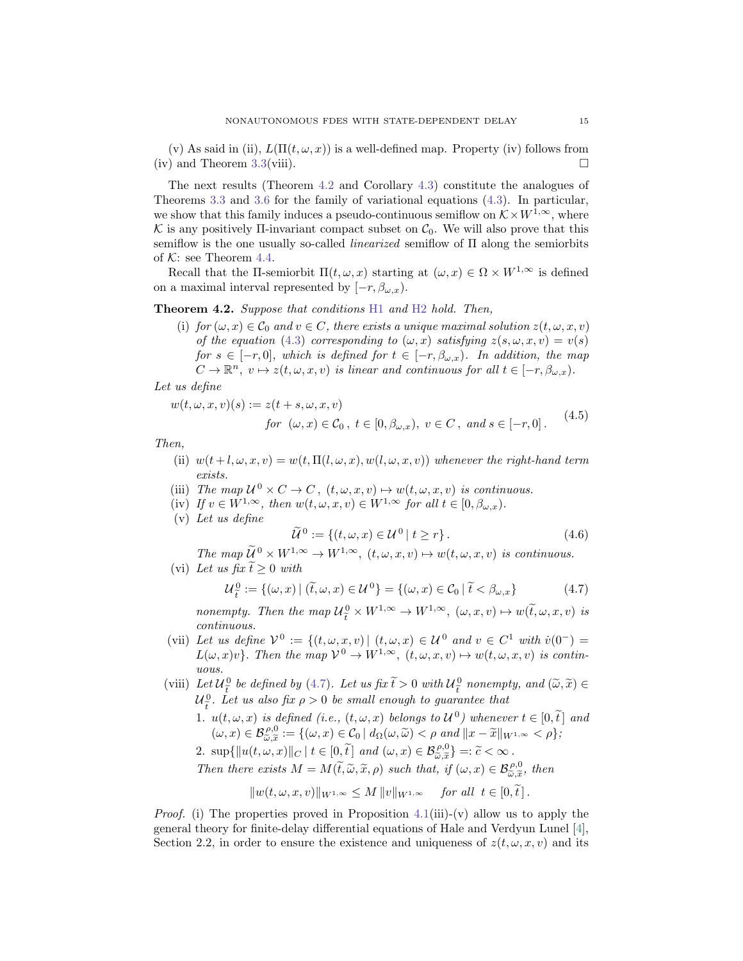(v) As said in (ii),  $L(\Pi(t,\omega,x))$  is a well-defined map. Property (iv) follows from (iv) and Theorem [3.3\(](#page-5-0)viii).

The next results (Theorem [4.2](#page-14-0) and Corollary [4.3\)](#page-16-0) constitute the analogues of Theorems [3.3](#page-5-0) and [3.6](#page-9-2) for the family of variational equations [\(4.3\)](#page-12-1). In particular, we show that this family induces a pseudo-continuous semiflow on  $\mathcal{K} \times W^{1,\infty}$ , where K is any positively  $\Pi$ -invariant compact subset on  $\mathcal{C}_0$ . We will also prove that this semiflow is the one usually so-called linearized semiflow of Π along the semiorbits of  $K:$  see Theorem [4.4.](#page-17-0)

Recall that the Π-semiorbit  $\Pi(t,\omega,x)$  starting at  $(\omega, x) \in \Omega \times W^{1,\infty}$  is defined on a maximal interval represented by  $[-r, \beta_{\omega,x})$ .

<span id="page-14-0"></span>Theorem 4.2. Suppose that conditions [H1](#page-4-3) and [H2](#page-4-1) hold. Then,

(i) for  $(\omega, x) \in \mathcal{C}_0$  and  $v \in C$ , there exists a unique maximal solution  $z(t, \omega, x, v)$ of the equation [\(4.3\)](#page-12-1) corresponding to  $(\omega, x)$  satisfying  $z(s, \omega, x, v) = v(s)$ for  $s \in [-r, 0]$ , which is defined for  $t \in [-r, \beta_{\omega,x})$ . In addition, the map  $C \to \mathbb{R}^n$ ,  $v \mapsto z(t, \omega, x, v)$  is linear and continuous for all  $t \in [-r, \beta_{\omega,x}).$ 

Let us define

<span id="page-14-2"></span> $w(t, \omega, x, v)(s) := z(t + s, \omega, x, v)$ 

$$
s) := z(t + s, \omega, x, v)
$$
  
for  $(\omega, x) \in C_0$ ,  $t \in [0, \beta_{\omega, x})$ ,  $v \in C$ , and  $s \in [-r, 0]$ . (4.5)

Then,

- (ii)  $w(t+l,\omega,x,v) = w(t,\Pi(l,\omega,x),w(l,\omega,x,v))$  whenever the right-hand term exists.
- (iii) The map  $\mathcal{U}^0 \times C \to C$ ,  $(t, \omega, x, v) \mapsto w(t, \omega, x, v)$  is continuous.
- (iv) If  $v \in W^{1,\infty}$ , then  $w(t,\omega,x,v) \in W^{1,\infty}$  for all  $t \in [0,\beta_{\omega,x})$ .
- (v) Let us define

<span id="page-14-3"></span>
$$
\widetilde{\mathcal{U}}^0 := \{ (t, \omega, x) \in \mathcal{U}^0 \mid t \ge r \}. \tag{4.6}
$$

The map  $\widetilde{\mathcal{U}}^0 \times W^{1,\infty} \to W^{1,\infty}$ ,  $(t, \omega, x, v) \mapsto w(t, \omega, x, v)$  is continuous.

(vi) Let us fix  $\widetilde{t} > 0$  with

<span id="page-14-1"></span>
$$
\mathcal{U}_{\tilde{t}}^0 := \{ (\omega, x) \mid (\tilde{t}, \omega, x) \in \mathcal{U}^0 \} = \{ (\omega, x) \in \mathcal{C}_0 \mid \tilde{t} < \beta_{\omega, x} \} \tag{4.7}
$$

nonempty. Then the map  $\mathcal{U}_{\tilde{t}}^0 \times W^{1,\infty} \to W^{1,\infty}$ ,  $(\omega, x, v) \mapsto w(\tilde{t}, \omega, x, v)$  is continuous continuous.

- (vii) Let us define  $V^0 := \{(t, \omega, x, v) | (t, \omega, x) \in \mathcal{U}^0 \text{ and } v \in C^1 \text{ with } v(0^-) =$  $L(\omega, x)v$ . Then the map  $V^0 \to W^{1,\infty}$ ,  $(t, \omega, x, v) \mapsto w(t, \omega, x, v)$  is continuous.
- (viii) Let  $\mathcal{U}_{\tilde{t}}^0$  be defined by [\(4.7\)](#page-14-1). Let us fix  $\tilde{t} > 0$  with  $\mathcal{U}_{\tilde{t}}^0$  nonempty, and  $(\tilde{\omega}, \tilde{x}) \in$ <br> $\mathcal{U}_{\tilde{t}}^0$  is the substitution of the sumplement of the summature that  $\mathcal{U}_{\tau}^{\mathcal{Q}}$ . Let us also fix  $\rho > 0$  be small enough to guarantee that
	- 1.  $u(t, \omega, x)$  is defined (i.e.,  $(t, \omega, x)$  belongs to  $\mathcal{U}^0$ ) whenever  $t \in [0, \tilde{t}]$  and<br>  $\mathcal{U}^0$  $(\omega, x) \in \mathcal{B}_{\tilde{\omega}, \tilde{x}}^{\rho, 0} := \{ (\omega, x) \in \mathcal{C}_0 \mid d_{\Omega}(\omega, \tilde{\omega}) < \rho \text{ and } ||x - \tilde{x}||_{W^{1,\infty}} < \rho \};$
	- $(\omega, x) \in \mathcal{D}_{\widetilde{\omega}, \widetilde{x}} \cdot \{-1(\omega, x) \in \mathcal{C}_0 \mid u_{\Omega}(\omega, \omega) \leq p \text{ and } ||x x||_W$ <br>
	2.  $\sup{\{||u(t, \omega, x)||_C | t \in [0, \widetilde{t}] \text{ and } (\omega, x) \in \mathcal{B}_{\widetilde{\omega}, \widetilde{x}}^{\rho, 0}\} =: \widetilde{c} < \infty$ .

Then there exists  $M = M(\tilde{t}, \tilde{\omega}, \tilde{x}, \rho)$  such that, if  $(\omega, x) \in \mathcal{B}_{\tilde{\omega}, \tilde{x}}^{\rho,0}$ , then<br>Then there exists  $M = M(\tilde{t}, \tilde{\omega}, \tilde{x}, \rho)$  such that, if  $(\omega, x) \in \mathcal{B}_{\tilde{\omega}, \tilde{x}}^{\rho,0}$ , then

$$
||w(t, \omega, x, v)||_{W^{1,\infty}} \le M ||v||_{W^{1,\infty}} \quad \text{for all } t \in [0, t].
$$

*Proof.* (i) The properties proved in Proposition  $4.1(iii)-(v)$  $4.1(iii)-(v)$  allow us to apply the general theory for finite-delay differential equations of Hale and Verdyun Lunel  $[4]$ , Section 2.2, in order to ensure the existence and uniqueness of  $z(t, \omega, x, v)$  and its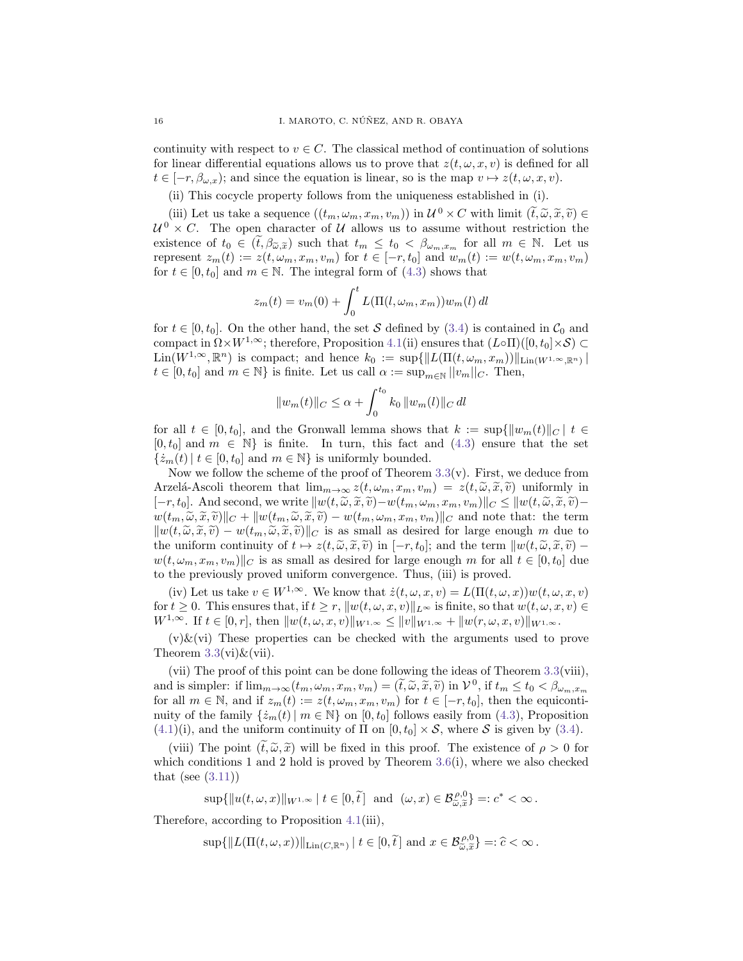continuity with respect to  $v \in C$ . The classical method of continuation of solutions for linear differential equations allows us to prove that  $z(t, \omega, x, v)$  is defined for all  $t \in [-r, \beta_{\omega,x})$ ; and since the equation is linear, so is the map  $v \mapsto z(t, \omega, x, v)$ .

(ii) This cocycle property follows from the uniqueness established in (i).

(iii) Let us take a sequence  $((t_m, \omega_m, x_m, v_m))$  in  $\mathcal{U}^0 \times C$  with limit  $(\tilde{t}, \tilde{\omega}, \tilde{x}, \tilde{v}) \in$ <br> $\forall \chi C$ . The open character of  $\mathcal{U}$  allows us to assume without restriction the  $\mathcal{U}^0 \times C$ . The open character of U allows us to assume without restriction the existence of  $t_0 \in (\tilde{t}, \beta_{\tilde{\omega}, \tilde{x}})$  such that  $t_m \leq t_0 < \beta_{\omega_m, x_m}$  for all  $m \in \mathbb{N}$ . Let us represent  $z_m(t) := z(t, \omega_m, x_m, v_m)$  for  $t \in [-r, t_0]$  and  $w_m(t) := w(t, \omega_m, x_m, v_m)$ for  $t \in [0, t_0]$  and  $m \in \mathbb{N}$ . The integral form of  $(4.3)$  shows that

$$
z_m(t) = v_m(0) + \int_0^t L(\Pi(l, \omega_m, x_m)) w_m(l) dl
$$

for  $t \in [0, t_0]$ . On the other hand, the set S defined by [\(3.4\)](#page-7-1) is contained in  $\mathcal{C}_0$  and compact in  $\Omega \times W^{1,\infty}$ ; therefore, Proposition [4.1\(](#page-12-2)ii) ensures that  $(L\circ\Pi)([0, t_0] \times S) \subset$  $\text{Lin}(W^{1,\infty},\mathbb{R}^n)$  is compact; and hence  $k_0 := \sup\{\|L(\Pi(t,\omega_m,x_m))\|_{\text{Lin}(W^{1,\infty},\mathbb{R}^n)}\}\$  $t \in [0, t_0]$  and  $m \in \mathbb{N}$  is finite. Let us call  $\alpha := \sup_{m \in \mathbb{N}} ||v_m||_C$ . Then,

$$
||w_m(t)||_C \leq \alpha + \int_0^{t_0} k_0 ||w_m(l)||_C dl
$$

for all  $t \in [0, t_0]$ , and the Gronwall lemma shows that  $k := \sup\{\|w_m(t)\|_C \mid t \in$  $[0, t_0]$  and  $m \in \mathbb{N}$  is finite. In turn, this fact and  $(4.3)$  ensure that the set  $\{\dot{z}_m(t) | t \in [0, t_0] \text{ and } m \in \mathbb{N}\}\$ is uniformly bounded.

Now we follow the scheme of the proof of Theorem  $3.3(v)$  $3.3(v)$ . First, we deduce from Arzelá-Ascoli theorem that  $\lim_{m\to\infty} z(t,\omega_m,x_m,v_m) = z(t,\tilde{\omega},\tilde{x},\tilde{v})$  uniformly in  $[-r, t_0]$ . And second, we write  $\|w(t, \tilde{\omega}, \tilde{x}, \tilde{v}) - w(t_m, \omega_m, x_m, v_m)\|_C \leq \|w(t, \tilde{\omega}, \tilde{x}, \tilde{v}) - w(t_m, \omega_m, v_m)\|_C$  $w(t_m, \tilde{\omega}, \tilde{x}, \tilde{v})||_C + ||w(t_m, \tilde{\omega}, \tilde{x}, \tilde{v}) - w(t_m, \omega_m, x_m, v_m)||_C$  and note that: the term  $\|w(t, \tilde{\omega}, \tilde{x}, \tilde{v}) - w(t_m, \tilde{\omega}, \tilde{x}, \tilde{v})\|_C$  is as small as desired for large enough m due to the uniform continuity of  $t \mapsto z(t, \tilde{\omega}, \tilde{x}, \tilde{v})$  in  $[-r, t_0]$ ; and the term  $\|w(t, \tilde{\omega}, \tilde{x}, \tilde{v}) - v_0\|$  $w(t, \omega_m, x_m, v_m)||_C$  is as small as desired for large enough m for all  $t \in [0, t_0]$  due to the previously proved uniform convergence. Thus, (iii) is proved.

(iv) Let us take  $v \in W^{1,\infty}$ . We know that  $\dot{z}(t,\omega,x,v) = L(\Pi(t,\omega,x))w(t,\omega,x,v)$ for  $t \geq 0$ . This ensures that, if  $t \geq r$ ,  $||w(t, \omega, x, v)||_{L^{\infty}}$  is finite, so that  $w(t, \omega, x, v) \in$  $W^{1,\infty}.\,\text{ If }t\in [0,r],\,\text{then }\|w(t,\omega, x, v)\|_{W^{1,\infty}}\leq \|v\|_{W^{1,\infty}}+\|w(r,\omega, x, v)\|_{W^{1,\infty}}.$ 

 $(v)$ &(vi) These properties can be checked with the arguments used to prove Theorem  $3.3(vi) \& (vii)$  $3.3(vi) \& (vii)$ .

(vii) The proof of this point can be done following the ideas of Theorem [3.3\(](#page-5-0)viii), and is simpler: if  $\lim_{m\to\infty} (t_m, \omega_m, x_m, v_m) = (\tilde{t}, \tilde{\omega}, \tilde{x}, \tilde{v})$  in  $\mathcal{V}^0$ , if  $t_m \le t_0 < \beta_{\omega_m, x_m}$ <br>for all  $m \in \mathbb{N}$ , and if  $\gamma_{\omega_n}(t) := \gamma(t_{\omega_n}, x_{\omega_n})$ , for  $t \in [-x, t_0]$ , then the equipontion for all  $m \in \mathbb{N}$ , and if  $z_m(t) := z(t, \omega_m, x_m, v_m)$  for  $t \in [-r, t_0]$ , then the equicontinuity of the family  $\{\dot{z}_m(t) | m \in \mathbb{N}\}$  on  $[0, t_0]$  follows easily from [\(4.3\)](#page-12-1), Proposition  $(4.1)(i)$  $(4.1)(i)$ , and the uniform continuity of  $\Pi$  on  $[0, t_0] \times S$ , where S is given by  $(3.4)$ .

(viii) The point  $(\tilde{t}, \tilde{\omega}, \tilde{x})$  will be fixed in this proof. The existence of  $\rho > 0$  for which conditions 1 and 2 hold is proved by Theorem  $3.6(i)$  $3.6(i)$ , where we also checked that (see  $(3.11)$ )

 $\sup\{\|u(t,\omega,x)\|_{W^{1,\infty}} | t \in [0,\tilde{t}] \text{ and } (\omega,x) \in \mathcal{B}_{\tilde{\omega},\tilde{x}}^{\rho,0}\} =: c^* < \infty.$ 

Therefore, according to Proposition [4.1\(](#page-12-2)iii),

 $\sup\{\|L(\Pi(t,\omega,x))\|_{\text{Lin}(C,\mathbb{R}^n)}\,|\;t\in[0,\tilde{t}\] \text{ and } x\in\mathcal{B}_{\tilde{\omega},\tilde{x}}^{\rho,0}\} =:\hat{c}<\infty.$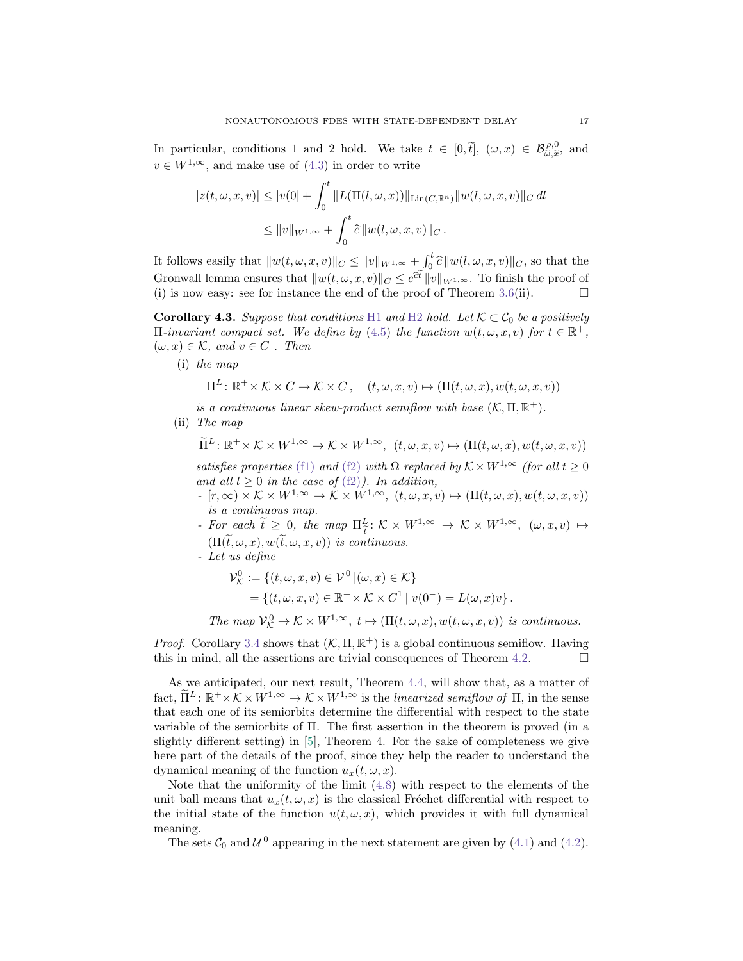In particular, conditions 1 and 2 hold. We take  $t \in [0,\tilde{t}], (\omega, x) \in \mathcal{B}_{\tilde{\omega}, \tilde{x}}^{\rho,0}$ , and  $\omega \in W^{1,\infty}$ , and we know of  $(A, \tilde{x})$  is and we know that  $v \in W^{1,\infty}$ , and make use of [\(4.3\)](#page-12-1) in order to write

$$
|z(t, \omega, x, v)| \le |v(0) + \int_0^t \|L(\Pi(l, \omega, x))\|_{\text{Lin}(C, \mathbb{R}^n)} \|w(l, \omega, x, v)\|_{C} dl
$$
  

$$
\le \|v\|_{W^{1, \infty}} + \int_0^t \hat{c} \|w(l, \omega, x, v)\|_{C} .
$$

It follows easily that  $\|w(t, \omega, x, v)\|_{C} \le \|v\|_{W^{1,\infty}} + \int_0^t \hat{c} \|w(t, \omega, x, v)\|_{C}$ , so that the Gronwall lemma ensures that  $||w(t, \omega, x, v)||_C \leq e^{\hat{c}t} ||v||_{W^{1,\infty}}$ . To finish the proof of (i) is now easy: see for instance the end of the proof of Theorem [3.6\(](#page-9-2)ii).  $\Box$ 

<span id="page-16-0"></span>**Corollary 4.3.** Suppose that conditions [H1](#page-4-3) and [H2](#page-4-1) hold. Let  $K \subset C_0$  be a positively  $\Pi$ -invariant compact set. We define by [\(4.5\)](#page-14-2) the function  $w(t, \omega, x, v)$  for  $t \in \mathbb{R}^+$ ,  $(\omega, x) \in \mathcal{K}$ , and  $v \in C$ . Then

(i) the map

$$
\Pi^L \colon \mathbb{R}^+ \times \mathcal{K} \times C \to \mathcal{K} \times C, \quad (t, \omega, x, v) \mapsto (\Pi(t, \omega, x), w(t, \omega, x, v))
$$

is a continuous linear skew-product semiflow with base  $(K, \Pi, \mathbb{R}^+)$ .

(ii) The map

$$
\widetilde{\Pi}^{L}: \mathbb{R}^{+} \times \mathcal{K} \times W^{1,\infty} \to \mathcal{K} \times W^{1,\infty}, \ \ (t, \omega, x, v) \mapsto (\Pi(t, \omega, x), w(t, \omega, x, v))
$$

satisfies properties [\(f1\)](#page-3-1) and [\(f2\)](#page-3-0) with  $\Omega$  replaced by  $K \times W^{1,\infty}$  (for all  $t \geq 0$ and all  $l \geq 0$  in the case of  $(f2)$ ). In addition,

- $[r, \infty) \times K \times W^{1, \infty} \to \mathcal{K} \times W^{1, \infty}, (t, \omega, x, v) \mapsto (\Pi(t, \omega, x), w(t, \omega, x, v))$ is a continuous map.
- For each  $\tilde{t} \geq 0$ , the map  $\Pi_{\tilde{t}}^L : \mathcal{K} \times W^{1,\infty} \to \mathcal{K} \times W^{1,\infty}$ ,  $(\omega, x, v) \mapsto$  $(\Pi(\widetilde{t},\omega,x), w(\widetilde{t},\omega,x,v))$  is continuous.
- Let us define

$$
\mathcal{V}_{\mathcal{K}}^0 := \{ (t, \omega, x, v) \in \mathcal{V}^0 \mid (\omega, x) \in \mathcal{K} \}
$$
  
= \{ (t, \omega, x, v) \in \mathbb{R}^+ \times \mathcal{K} \times C^1 \mid v(0^-) = L(\omega, x)v \}.

The map  $\mathcal{V}_{\mathcal{K}}^0 \to \mathcal{K} \times W^{1,\infty}$ ,  $t \mapsto (\Pi(t,\omega,x), w(t,\omega,x,v))$  is continuous.

*Proof.* Corollary [3.4](#page-9-3) shows that  $(K, \Pi, \mathbb{R}^+)$  is a global continuous semiflow. Having this in mind, all the assertions are trivial consequences of Theorem [4.2.](#page-14-0)  $\Box$ 

As we anticipated, our next result, Theorem [4.4,](#page-17-0) will show that, as a matter of fact,  $\widetilde{\Pi}^L : \mathbb{R}^+ \times \mathcal{K} \times W^{1,\infty} \to \mathcal{K} \times W^{1,\infty}$  is the linearized semiflow of  $\Pi$ , in the sense that each one of its semiorbits determine the differential with respect to the state variable of the semiorbits of Π. The first assertion in the theorem is proved (in a slightly different setting) in [\[5\]](#page-22-5), Theorem 4. For the sake of completeness we give here part of the details of the proof, since they help the reader to understand the dynamical meaning of the function  $u_x(t, \omega, x)$ .

Note that the uniformity of the limit [\(4.8\)](#page-17-1) with respect to the elements of the unit ball means that  $u_x(t, \omega, x)$  is the classical Fréchet differential with respect to the initial state of the function  $u(t, \omega, x)$ , which provides it with full dynamical meaning.

The sets  $C_0$  and  $U^0$  appearing in the next statement are given by [\(4.1\)](#page-12-3) and [\(4.2\)](#page-12-4).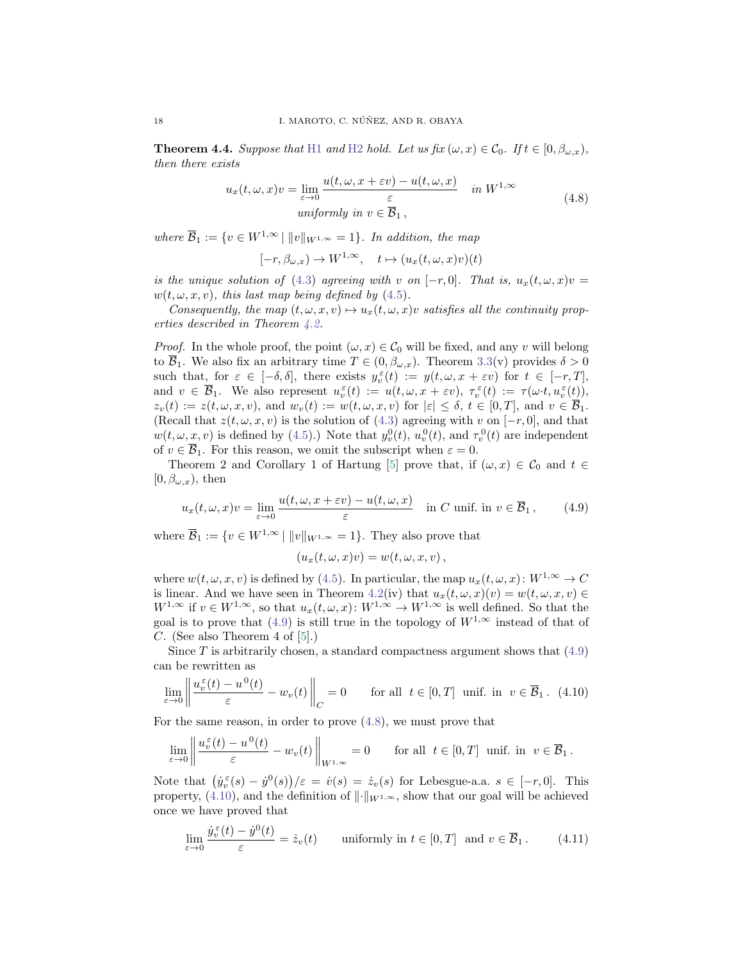<span id="page-17-0"></span>**Theorem 4.4.** Suppose that [H1](#page-4-3) and [H2](#page-4-1) hold. Let us fix  $(\omega, x) \in C_0$ . If  $t \in [0, \beta_{\omega,x})$ , then there exists

$$
u_x(t, \omega, x)v = \lim_{\varepsilon \to 0} \frac{u(t, \omega, x + \varepsilon v) - u(t, \omega, x)}{\varepsilon} \quad in \ W^{1, \infty}
$$
  
uniformly in  $v \in \overline{\mathcal{B}}_1$ , (4.8)

<span id="page-17-1"></span>where  $\overline{\mathcal{B}}_1 := \{v \in W^{1,\infty} \mid ||v||_{W^{1,\infty}} = 1\}$ . In addition, the map

 $[-r, \beta_{\omega,x}) \to W^{1,\infty}, \quad t \mapsto (u_x(t,\omega, x)v)(t)$ 

is the unique solution of [\(4.3\)](#page-12-1) agreeing with v on  $[-r, 0]$ . That is,  $u_x(t, \omega, x)v =$  $w(t, \omega, x, v)$ , this last map being defined by [\(4.5\)](#page-14-2).

Consequently, the map  $(t, \omega, x, v) \mapsto u_x(t, \omega, x)v$  satisfies all the continuity properties described in Theorem [4.2.](#page-14-0)

*Proof.* In the whole proof, the point  $(\omega, x) \in C_0$  will be fixed, and any v will belong to  $\overline{\mathcal{B}}_1$ . We also fix an arbitrary time  $T \in (0, \beta_{\omega,x})$ . Theorem [3.3\(](#page-5-0)v) provides  $\delta > 0$ such that, for  $\varepsilon \in [-\delta, \delta]$ , there exists  $y_v^{\varepsilon}(t) := y(t, \omega, x + \varepsilon v)$  for  $t \in [-r, T]$ , and  $v \in \overline{\mathcal{B}}_1$ . We also represent  $u_v^{\varepsilon}(t) := u(t, \omega, x + \varepsilon v)$ ,  $\tau_v^{\varepsilon}(t) := \tau(\omega \cdot t, u_v^{\varepsilon}(t))$ ,  $z_v(t) := z(t, \omega, x, v)$ , and  $w_v(t) := w(t, \omega, x, v)$  for  $|\varepsilon| \leq \delta, t \in [0, T]$ , and  $v \in \overline{\mathcal{B}}_1$ . (Recall that  $z(t, \omega, x, v)$  is the solution of [\(4.3\)](#page-12-1) agreeing with v on [-r, 0], and that  $w(t, \omega, x, v)$  is defined by [\(4.5\)](#page-14-2).) Note that  $y_v^0(t)$ ,  $u_v^0(t)$ , and  $\tau_v^0(t)$  are independent of  $v \in \mathcal{B}_1$ . For this reason, we omit the subscript when  $\varepsilon = 0$ .

Theorem 2 and Corollary 1 of Hartung [\[5\]](#page-22-5) prove that, if  $(\omega, x) \in C_0$  and  $t \in$  $[0, \beta_{\omega,x}),$  then

<span id="page-17-2"></span>
$$
u_x(t, \omega, x)v = \lim_{\varepsilon \to 0} \frac{u(t, \omega, x + \varepsilon v) - u(t, \omega, x)}{\varepsilon} \quad \text{in } C \text{ unif. in } v \in \overline{\mathcal{B}}_1 \,, \tag{4.9}
$$

where  $\overline{\mathcal{B}}_1 := \{v \in W^{1,\infty} \mid ||v||_{W^{1,\infty}} = 1\}.$  They also prove that

$$
(u_x(t,\omega,x)v) = w(t,\omega,x,v) ,
$$

where  $w(t, \omega, x, v)$  is defined by [\(4.5\)](#page-14-2). In particular, the map  $u_x(t, \omega, x): W^{1, \infty} \to C$ is linear. And we have seen in Theorem [4.2\(](#page-14-0)iv) that  $u_x(t, \omega, x)(v) = w(t, \omega, x, v) \in$  $W^{1,\infty}$  if  $v \in W^{1,\infty}$ , so that  $u_x(t,\omega,x): W^{1,\infty} \to W^{1,\infty}$  is well defined. So that the goal is to prove that [\(4.9\)](#page-17-2) is still true in the topology of  $W^{1,\infty}$  instead of that of C. (See also Theorem 4 of  $[5]$ .)

Since  $T$  is arbitrarily chosen, a standard compactness argument shows that  $(4.9)$ can be rewritten as

<span id="page-17-3"></span>
$$
\lim_{\varepsilon \to 0} \left\| \frac{u_v^{\varepsilon}(t) - u^0(t)}{\varepsilon} - w_v(t) \right\|_C = 0 \quad \text{for all } t \in [0, T] \text{ unif. in } v \in \overline{\mathcal{B}}_1. \tag{4.10}
$$

For the same reason, in order to prove [\(4.8\)](#page-17-1), we must prove that

$$
\lim_{\varepsilon \to 0} \left\| \frac{u_v^{\varepsilon}(t) - u^0(t)}{\varepsilon} - w_v(t) \right\|_{W^{1,\infty}} = 0 \quad \text{for all } t \in [0, T] \text{ unit. in } v \in \overline{\mathcal{B}}_1.
$$

Note that  $(\dot{y}_v^{\varepsilon}(s) - \dot{y}^0(s))/\varepsilon = \dot{v}(s) = \dot{z}_v(s)$  for Lebesgue-a.a.  $s \in [-r, 0]$ . This property, [\(4.10\)](#page-17-3), and the definition of  $\|\cdot\|_{W^{1,\infty}}$ , show that our goal will be achieved once we have proved that

<span id="page-17-4"></span>
$$
\lim_{\varepsilon \to 0} \frac{\dot{y}_v^{\varepsilon}(t) - \dot{y}^0(t)}{\varepsilon} = \dot{z}_v(t) \quad \text{uniformly in } t \in [0, T] \text{ and } v \in \overline{\mathcal{B}}_1. \tag{4.11}
$$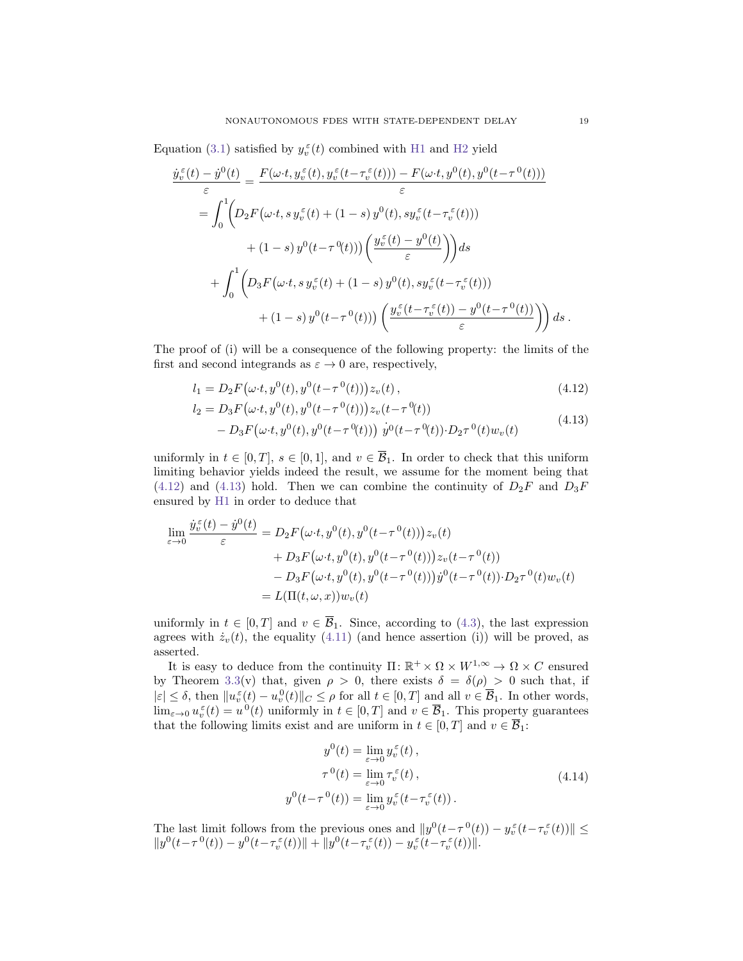Equation [\(3.1\)](#page-4-2) satisfied by  $y_v^{\varepsilon}(t)$  combined with [H1](#page-4-3) and [H2](#page-4-1) yield

$$
\frac{\dot{y}_v^{\varepsilon}(t) - \dot{y}^0(t)}{\varepsilon} = \frac{F(\omega \cdot t, y_v^{\varepsilon}(t), y_v^{\varepsilon}(t - \tau_v^{\varepsilon}(t))) - F(\omega \cdot t, y^0(t), y^0(t - \tau^0(t)))}{\varepsilon}
$$
\n
$$
= \int_0^1 \left( D_2 F(\omega \cdot t, s \, y_v^{\varepsilon}(t) + (1 - s) \, y^0(t), s y_v^{\varepsilon}(t - \tau_v^{\varepsilon}(t))) + (1 - s) \, y^0(t - \tau^0(t)) \right) \left( \frac{y_v^{\varepsilon}(t) - y^0(t)}{\varepsilon} \right) ds
$$
\n
$$
+ \int_0^1 \left( D_3 F(\omega \cdot t, s \, y_v^{\varepsilon}(t) + (1 - s) \, y^0(t), s y_v^{\varepsilon}(t - \tau_v^{\varepsilon}(t))) + (1 - s) \, y^0(t - \tau^0(t)) \right) \left( \frac{y_v^{\varepsilon}(t - \tau_v^{\varepsilon}(t)) - y^0(t - \tau^0(t))}{\varepsilon} \right) ds.
$$

The proof of (i) will be a consequence of the following property: the limits of the first and second integrands as  $\varepsilon \to 0$  are, respectively,

<span id="page-18-0"></span>
$$
l_1 = D_2 F(\omega \cdot t, y^0(t), y^0(t - \tau^0(t))) z_v(t), \qquad (4.12)
$$

<span id="page-18-1"></span>
$$
l_2 = D_3 F(\omega \cdot t, y^0(t), y^0(t - \tau^0(t))) z_v(t - \tau^0(t))
$$
  
- D\_3 F(\omega \cdot t, y^0(t), y^0(t - \tau^0(t))) y^0(t - \tau^0(t)) \cdot D\_2 \tau^0(t) w\_v(t) (4.13)

uniformly in  $t \in [0, T]$ ,  $s \in [0, 1]$ , and  $v \in \overline{\mathcal{B}}_1$ . In order to check that this uniform limiting behavior yields indeed the result, we assume for the moment being that [\(4.12\)](#page-18-0) and [\(4.13\)](#page-18-1) hold. Then we can combine the continuity of  $D_2F$  and  $D_3F$ ensured by [H1](#page-4-3) in order to deduce that

$$
\lim_{\varepsilon \to 0} \frac{\dot{y}_v^{\varepsilon}(t) - \dot{y}^0(t)}{\varepsilon} = D_2 F(\omega \cdot t, y^0(t), y^0(t - \tau^0(t))) z_v(t) \n+ D_3 F(\omega \cdot t, y^0(t), y^0(t - \tau^0(t))) z_v(t - \tau^0(t)) \n- D_3 F(\omega \cdot t, y^0(t), y^0(t - \tau^0(t))) \dot{y}^0(t - \tau^0(t)) \cdot D_2 \tau^0(t) w_v(t) \n= L(\Pi(t, \omega, x)) w_v(t)
$$

uniformly in  $t \in [0, T]$  and  $v \in \overline{\mathcal{B}}_1$ . Since, according to [\(4.3\)](#page-12-1), the last expression agrees with  $\dot{z}_v(t)$ , the equality [\(4.11\)](#page-17-4) (and hence assertion (i)) will be proved, as asserted.

It is easy to deduce from the continuity  $\Pi: \mathbb{R}^+ \times \Omega \times W^{1,\infty} \to \Omega \times C$  ensured by Theorem [3.3\(](#page-5-0)v) that, given  $\rho > 0$ , there exists  $\delta = \delta(\rho) > 0$  such that, if  $|\varepsilon| \leq \delta$ , then  $||u_v^{\varepsilon}(t) - u_v^0(t)||_C \leq \rho$  for all  $t \in [0, T]$  and all  $v \in \overline{\mathcal{B}}_1$ . In other words,  $\lim_{\varepsilon\to 0} u_v^{\varepsilon}(t) = u^0(t)$  uniformly in  $t \in [0,T]$  and  $v \in \overline{\mathcal{B}}_1$ . This property guarantees that the following limits exist and are uniform in  $t \in [0, T]$  and  $v \in \overline{\mathcal{B}}_1$ :

$$
y^{0}(t) = \lim_{\varepsilon \to 0} y^{\varepsilon}_{v}(t),
$$
  
\n
$$
\tau^{0}(t) = \lim_{\varepsilon \to 0} \tau^{\varepsilon}_{v}(t),
$$
  
\n
$$
y^{0}(t - \tau^{0}(t)) = \lim_{\varepsilon \to 0} y^{\varepsilon}_{v}(t - \tau^{ \varepsilon}_{v}(t)).
$$
\n(4.14)

<span id="page-18-2"></span>The last limit follows from the previous ones and  $||y^0(t-\tau^0(t)) - y_v^{\varepsilon}(t-\tau_v^{\varepsilon}(t))|| \le$  $\|y^0(t-\tau^0(t)) - y^0(t-\tau_v^\varepsilon(t))\| + \|y^0(t-\tau_v^\varepsilon(t)) - y_v^\varepsilon(t-\tau_v^\varepsilon(t))\|.$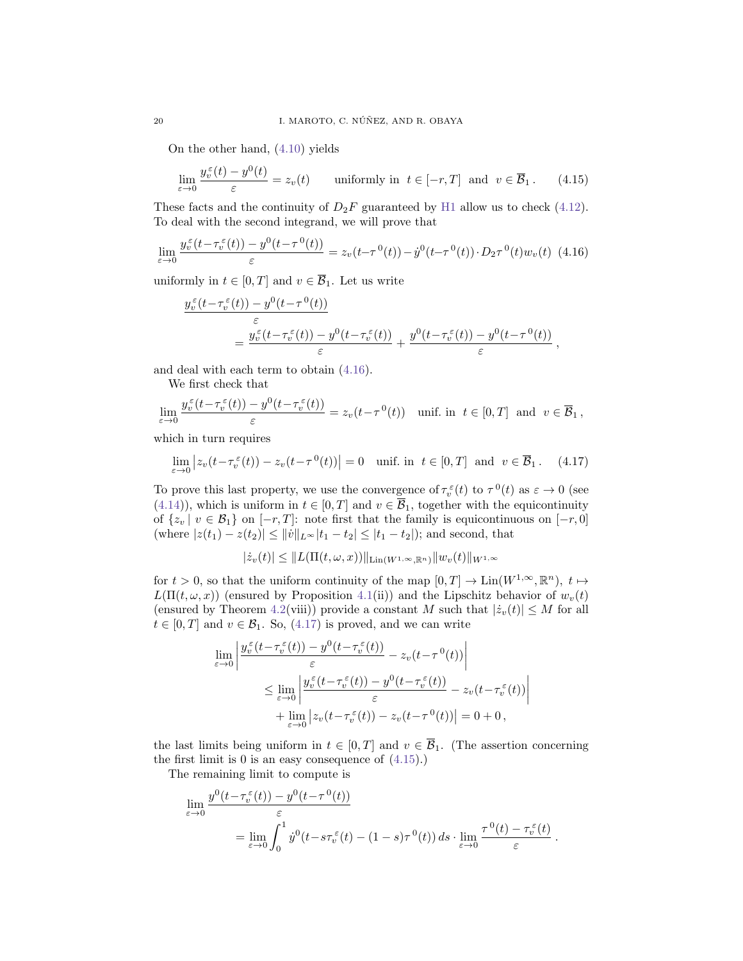On the other hand, [\(4.10\)](#page-17-3) yields

<span id="page-19-2"></span>
$$
\lim_{\varepsilon \to 0} \frac{y_v^{\varepsilon}(t) - y^0(t)}{\varepsilon} = z_v(t) \quad \text{uniformly in } t \in [-r, T] \text{ and } v \in \overline{\mathcal{B}}_1. \tag{4.15}
$$

These facts and the continuity of  $D_2F$  guaranteed by [H1](#page-4-3) allow us to check [\(4.12\)](#page-18-0). To deal with the second integrand, we will prove that

<span id="page-19-0"></span>
$$
\lim_{\varepsilon \to 0} \frac{y_v^{\varepsilon}(t - \tau_v^{\varepsilon}(t)) - y^0(t - \tau^0(t))}{\varepsilon} = z_v(t - \tau^0(t)) - \dot{y}^0(t - \tau^0(t)) \cdot D_2 \tau^0(t) w_v(t) \tag{4.16}
$$

uniformly in  $t \in [0, T]$  and  $v \in \overline{\mathcal{B}}_1$ . Let us write

$$
\frac{y_v^{\varepsilon}(t-\tau_v^{\varepsilon}(t))-y^0(t-\tau^0(t))}{\varepsilon}=\frac{y_v^{\varepsilon}(t-\tau_v^{\varepsilon}(t))-y^0(t-\tau_v^{\varepsilon}(t))}{\varepsilon}+\frac{y^0(t-\tau_v^{\varepsilon}(t))-y^0(t-\tau^0(t))}{\varepsilon},
$$

and deal with each term to obtain [\(4.16\)](#page-19-0).

We first check that

$$
\lim_{\varepsilon \to 0} \frac{y_v^{\varepsilon}(t - \tau_v^{\varepsilon}(t)) - y^0(t - \tau_v^{\varepsilon}(t))}{\varepsilon} = z_v(t - \tau^0(t)) \quad \text{unif. in } t \in [0, T] \text{ and } v \in \overline{\mathcal{B}}_1,
$$

which in turn requires

<span id="page-19-1"></span>
$$
\lim_{\varepsilon \to 0} |z_v(t - \tau_v^{\varepsilon}(t)) - z_v(t - \tau^0(t))| = 0 \quad \text{unif. in } t \in [0, T] \text{ and } v \in \overline{\mathcal{B}}_1. \tag{4.17}
$$

To prove this last property, we use the convergence of  $\tau_v^{\varepsilon}(t)$  to  $\tau^0(t)$  as  $\varepsilon \to 0$  (see [\(4.14\)](#page-18-2)), which is uniform in  $t \in [0, T]$  and  $v \in \overline{\mathcal{B}}_1$ , together with the equicontinuity of  $\{z_v | v \in \mathcal{B}_1\}$  on  $[-r, T]$ : note first that the family is equicontinuous on  $[-r, 0]$ (where  $|z(t_1) - z(t_2)| \le ||v||_{L^{\infty}} |t_1 - t_2| \le |t_1 - t_2|$ ); and second, that

$$
|\dot{z}_v(t)| \leq \|L(\Pi(t,\omega,x))\|_{\text{Lin}(W^{1,\infty},\mathbb{R}^n)} \|w_v(t)\|_{W^{1,\infty}}
$$

for  $t > 0$ , so that the uniform continuity of the map  $[0, T] \to \text{Lin}(W^{1,\infty}, \mathbb{R}^n)$ ,  $t \mapsto$  $L(\Pi(t,\omega,x))$  (ensured by Proposition [4.1\(](#page-12-2)ii)) and the Lipschitz behavior of  $w<sub>v</sub>(t)$ (ensured by Theorem [4.2\(](#page-14-0)viii)) provide a constant M such that  $|\dot{z}_v(t)| \leq M$  for all  $t \in [0, T]$  and  $v \in \mathcal{B}_1$ . So, [\(4.17\)](#page-19-1) is proved, and we can write

$$
\lim_{\varepsilon \to 0} \left| \frac{y_v^{\varepsilon}(t - \tau_v^{\varepsilon}(t)) - y^0(t - \tau_v^{\varepsilon}(t))}{\varepsilon} - z_v(t - \tau^0(t)) \right|
$$
\n
$$
\leq \lim_{\varepsilon \to 0} \left| \frac{y_v^{\varepsilon}(t - \tau_v^{\varepsilon}(t)) - y^0(t - \tau_v^{\varepsilon}(t))}{\varepsilon} - z_v(t - \tau_v^{\varepsilon}(t)) \right|
$$
\n
$$
+ \lim_{\varepsilon \to 0} \left| z_v(t - \tau_v^{\varepsilon}(t)) - z_v(t - \tau^0(t)) \right| = 0 + 0,
$$

the last limits being uniform in  $t \in [0, T]$  and  $v \in \overline{\mathcal{B}}_1$ . (The assertion concerning the first limit is  $0$  is an easy consequence of  $(4.15)$ .

The remaining limit to compute is

$$
\lim_{\varepsilon \to 0} \frac{y^0(t - \tau_v^{\varepsilon}(t)) - y^0(t - \tau^0(t))}{\varepsilon}
$$
\n
$$
= \lim_{\varepsilon \to 0} \int_0^1 \dot{y}^0(t - s\tau_v^{\varepsilon}(t) - (1 - s)\tau^0(t)) \, ds \cdot \lim_{\varepsilon \to 0} \frac{\tau^0(t) - \tau_v^{\varepsilon}(t)}{\varepsilon}.
$$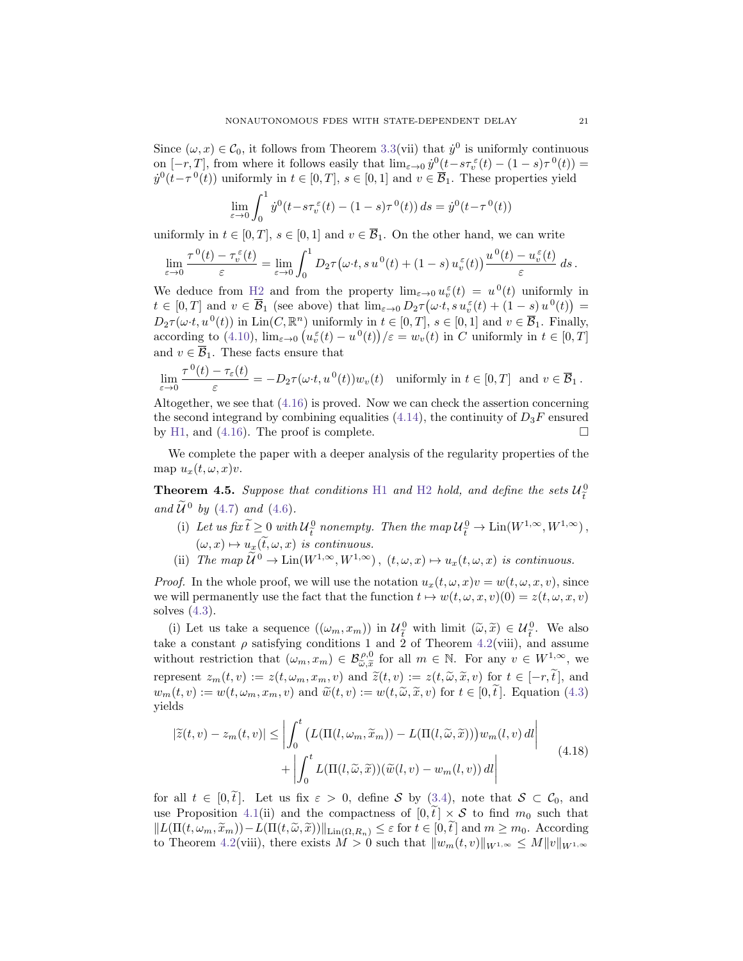Since  $(\omega, x) \in C_0$ , it follows from Theorem [3.3\(](#page-5-0)vii) that  $\dot{y}^0$  is uniformly continuous on  $[-r, T]$ , from where it follows easily that  $\lim_{\varepsilon \to 0} \dot{y}^0(t - s \tau_v^{\varepsilon}(t) - (1 - s) \tau^0(t)) =$  $\dot{y}^0(t-\tau^0(t))$  uniformly in  $t \in [0,T]$ ,  $s \in [0,1]$  and  $v \in \overline{\mathcal{B}}_1$ . These properties yield

$$
\lim_{\varepsilon \to 0} \int_0^1 \dot{y}^0(t - s\tau_v^{\varepsilon}(t) - (1 - s)\tau^0(t)) ds = \dot{y}^0(t - \tau^0(t))
$$

uniformly in  $t \in [0, T]$ ,  $s \in [0, 1]$  and  $v \in \overline{\mathcal{B}}_1$ . On the other hand, we can write

$$
\lim_{\varepsilon\to 0}\frac{\tau^{\,0}(t)-\tau_v^\varepsilon(t)}{\varepsilon}=\lim_{\varepsilon\to 0}\int_0^1D_2\tau\big(\omega\cdot t,s\,u^{\,0}(t)+(1-s)\,u_v^\varepsilon(t)\big)\frac{u^{\,0}(t)-u_v^\varepsilon(t)}{\varepsilon}\,ds\,.
$$

We deduce from [H2](#page-4-1) and from the property  $\lim_{\varepsilon \to 0} u_v^{\varepsilon}(t) = u^0(t)$  uniformly in  $t \in [0,T]$  and  $v \in \overline{\mathcal{B}}_1$  (see above) that  $\lim_{\varepsilon \to 0} D_2\tau(\omega \cdot t, s u_v^{\varepsilon}(t) + (1-s) u^0(t)) =$  $D_2\tau(\omega \cdot t, u^0(t))$  in Lin(C,  $\mathbb{R}^n$ ) uniformly in  $t \in [0, T]$ ,  $s \in [0, 1]$  and  $v \in \overline{\mathcal{B}}_1$ . Finally, according to [\(4.10\)](#page-17-3),  $\lim_{\varepsilon \to 0} \left( u_v^{\varepsilon}(t) - u^0(t) \right) / \varepsilon = w_v(t)$  in C uniformly in  $t \in [0, T]$ and  $v \in \overline{\mathcal{B}}_1$ . These facts ensure that

$$
\lim_{\varepsilon \to 0} \frac{\tau^0(t) - \tau_{\varepsilon}(t)}{\varepsilon} = -D_2 \tau(\omega \cdot t, u^0(t)) w_v(t) \quad \text{uniformly in } t \in [0, T] \text{ and } v \in \overline{\mathcal{B}}_1.
$$

Altogether, we see that [\(4.16\)](#page-19-0) is proved. Now we can check the assertion concerning the second integrand by combining equalities [\(4.14\)](#page-18-2), the continuity of  $D_3F$  ensured by [H1,](#page-4-3) and [\(4.16\)](#page-19-0). The proof is complete.  $\Box$ 

We complete the paper with a deeper analysis of the regularity properties of the map  $u_x(t, \omega, x)v$ .

**Theorem 4.5.** Suppose that conditions [H1](#page-4-3) and [H2](#page-4-1) hold, and define the sets  $\mathcal{U}_{\tilde{t}}^0$ and  $\widetilde{\mathcal{U}}^0$  by [\(4.7\)](#page-14-1) and [\(4.6\)](#page-14-3).

- (i) Let us fix  $\tilde{t} \geq 0$  with  $\mathcal{U}_{\tilde{t}}^0$  nonempty. Then the map  $\mathcal{U}_{\tilde{t}}^0 \to \text{Lin}(W^{1,\infty}, W^{1,\infty})$ ,  $(\omega, x) \mapsto u_x(\tilde{t}, \omega, x)$  is continuous.<br>  $\widetilde{C}^0$ ,  $\widetilde{C}^1$ ,  $(\omega, x)$  is continuous.
- (ii) The map  $\widetilde{U}^0 \to \text{Lin}(W^{1,\infty}, W^{1,\infty})$ ,  $(t, \omega, x) \mapsto u_x(t, \omega, x)$  is continuous.

*Proof.* In the whole proof, we will use the notation  $u_x(t, \omega, x)v = w(t, \omega, x, v)$ , since we will permanently use the fact that the function  $t \mapsto w(t, \omega, x, v)(0) = z(t, \omega, x, v)$ solves [\(4.3\)](#page-12-1).

(i) Let us take a sequence  $((\omega_m, x_m))$  in  $\mathcal{U}_{\tilde{t}}^0$  with limit  $(\tilde{\omega}, \tilde{x}) \in \mathcal{U}_{\tilde{t}}^0$ . We also take a constant  $\rho$  satisfying conditions 1 and 2 of Theorem [4.2\(](#page-14-0)viii), and assume without restriction that  $(\omega_m, x_m) \in \mathcal{B}_{\tilde{\omega}, \tilde{x}}^{\rho, 0}$  for all  $m \in \mathbb{N}$ . For any  $v \in W^{1, \infty}$ , we represent  $z_m(t, v) := z(t, \omega_m, x_m, v)$  and  $\tilde{z}(t, v) := z(t, \tilde{\omega}, \tilde{x}, v)$  for  $t \in [-r, \tilde{t}],$  and  $w_m(t, v) := w(t, \omega_m, x_m, v)$  and  $\widetilde{w}(t, v) := w(t, \widetilde{\omega}, \widetilde{x}, v)$  for  $t \in [0, \widetilde{t}]$ . Equation [\(4.3\)](#page-12-1) yields

<span id="page-20-0"></span>
$$
|\widetilde{z}(t,v) - z_m(t,v)| \leq \left| \int_0^t \left( L(\Pi(l,\omega_m, \widetilde{x}_m)) - L(\Pi(l,\widetilde{\omega}, \widetilde{x})) \right) w_m(l,v) \, dl \right|
$$

$$
+ \left| \int_0^t L(\Pi(l,\widetilde{\omega}, \widetilde{x})) (\widetilde{w}(l,v) - w_m(l,v)) \, dl \right|
$$
(4.18)

for all  $t \in [0, \tilde{t}]$ . Let us fix  $\varepsilon > 0$ , define S by [\(3.4\)](#page-7-1), note that  $S \subset C_0$ , and use Proposition [4.1\(](#page-12-2)ii) and the compactness of  $[0, \tilde{t}] \times S$  to find  $m_0$  such that  $||L(\Pi(t, \omega_m, \tilde{x}_m)) - L(\Pi(t, \tilde{\omega}, \tilde{x}))||_{\text{Lin}(\Omega, R_n)} \leq \varepsilon$  for  $t \in [0, \tilde{t}]$  and  $m \geq m_0$ . According to Theorem [4.2\(](#page-14-0)viii), there exists  $M > 0$  such that  $||w_m(t, v)||_{W^{1,\infty}} \le M||v||_{W^{1,\infty}}$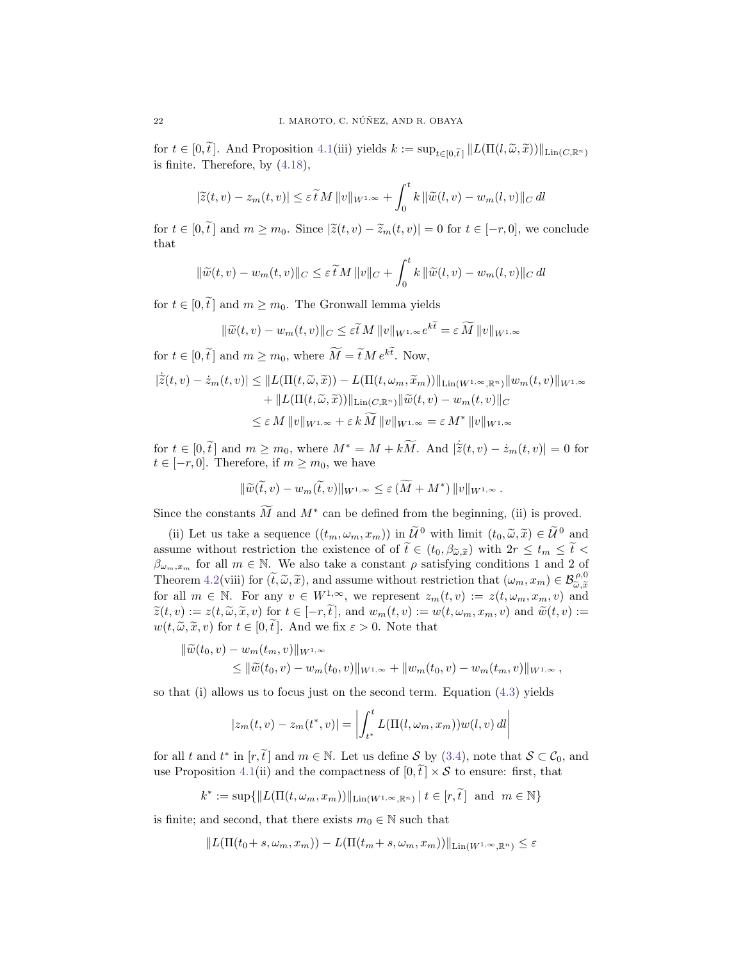for  $t \in [0, \tilde{t}]$ . And Proposition [4.1\(](#page-12-2)iii) yields  $k := \sup_{t \in [0, \tilde{t}]} ||L(\Pi(l, \tilde{\omega}, \tilde{x}))||_{\text{Lin}(C, \mathbb{R}^n)}$ is finite. Therefore, by [\(4.18\)](#page-20-0),

$$
|\widetilde{z}(t,v) - z_m(t,v)| \le \varepsilon \widetilde{t} M \|v\|_{W^{1,\infty}} + \int_0^t k \|\widetilde{w}(l,v) - w_m(l,v)\|_{C} dl
$$

for  $t \in [0, \tilde{t}]$  and  $m \geq m_0$ . Since  $|\tilde{z}(t, v) - \tilde{z}_m(t, v)| = 0$  for  $t \in [-r, 0]$ , we conclude that

$$
\|\widetilde{w}(t,v) - w_m(t,v)\|_C \leq \varepsilon \widetilde{t} M \|v\|_C + \int_0^t k \|\widetilde{w}(l,v) - w_m(l,v)\|_C dl
$$

for  $t \in [0, \tilde{t}]$  and  $m \geq m_0$ . The Gronwall lemma yields

$$
\|\widetilde{w}(t,v) - w_m(t,v)\|_{C} \le \varepsilon \widetilde{t} M \|v\|_{W^{1,\infty}} e^{k\widetilde{t}} = \varepsilon \widetilde{M} \|v\|_{W^{1,\infty}}
$$

for  $t \in [0, \tilde{t}]$  and  $m \ge m_0$ , where  $\tilde{M} = \tilde{t} M e^{k\tilde{t}}$ . Now,

$$
\begin{aligned} |\tilde{z}(t,v) - \dot{z}_m(t,v)| &\leq \|L(\Pi(t,\widetilde{\omega},\widetilde{x})) - L(\Pi(t,\omega_m,\widetilde{x}_m))\|_{\mathrm{Lin}(W^{1,\infty},\mathbb{R}^n)} \|w_m(t,v)\|_{W^{1,\infty}} \\ &+ \|L(\Pi(t,\widetilde{\omega},\widetilde{x}))\|_{\mathrm{Lin}(C,\mathbb{R}^n)} \|\widetilde{w}(t,v) - w_m(t,v)\|_{C} \\ &\leq \varepsilon M \, \|v\|_{W^{1,\infty}} + \varepsilon \, k \, \widetilde{M} \, \|v\|_{W^{1,\infty}} = \varepsilon \, M^* \, \|v\|_{W^{1,\infty}} \end{aligned}
$$

for  $t \in [0, \tilde{t}]$  and  $m \ge m_0$ , where  $M^* = M + k\widetilde{M}$ . And  $|\tilde{z}(t, v) - \dot{z}_m(t, v)| = 0$  for  $t \in [-r, 0]$ . Therefore, if  $m \ge m_0$ , we have  $t \in [-r, 0]$ . Therefore, if  $m \geq m_0$ , we have

$$
\|\widetilde{w}(\widetilde{t},v)-w_m(\widetilde{t},v)\|_{W^{1,\infty}}\leq \varepsilon \left(\widetilde{M}+M^*\right)\|v\|_{W^{1,\infty}}.
$$

Since the constants  $\widetilde{M}$  and  $M^*$  can be defined from the beginning, (ii) is proved.

(ii) Let us take a sequence  $((t_m, \omega_m, x_m))$  in  $\widetilde{\mathcal{U}}^0$  with limit  $(t_0, \widetilde{\omega}, \widetilde{x}) \in \widetilde{\mathcal{U}}^0$  and assume without restriction the existence of of  $\tilde{t} \in (t_0, \beta_{\tilde{\omega}, \tilde{x}})$  with  $2r \leq t_m \leq \tilde{t}$  $\beta_{\omega_m,x_m}$  for all  $m \in \mathbb{N}$ . We also take a constant  $\rho$  satisfying conditions 1 and 2 of Theorem [4.2\(](#page-14-0)viii) for  $(\tilde{t}, \tilde{\omega}, \tilde{x})$ , and assume without restriction that  $(\omega_m, x_m) \in \mathcal{B}_{\tilde{\omega}, \tilde{x}}^{\rho,0}$ Friedell  $x_1 \in V(x)$  for  $(v, \omega, x)$ , and assume whilout restriction that  $(\omega_m, x_m) \in \mathcal{D}_{\tilde{\omega}, \tilde{x}}$ <br>for all  $m \in \mathbb{N}$ . For any  $v \in W^{1,\infty}$ , we represent  $z_m(t, v) := z(t, \omega_m, x_m, v)$  and  $\widetilde{z}(t, v) := z(t, \widetilde{\omega}, \widetilde{x}, v)$  for  $t \in [-r, \widetilde{t}],$  and  $w_m(t, v) := w(t, \omega_m, x_m, v)$  and  $\widetilde{w}(t, v) :=$  $w(t, \tilde{\omega}, \tilde{x}, v)$  for  $t \in [0, \tilde{t}]$ . And we fix  $\varepsilon > 0$ . Note that

$$
\begin{aligned} \|\widetilde{w}(t_0, v) - w_m(t_m, v)\|_{W^{1,\infty}} \\ &\leq \|\widetilde{w}(t_0, v) - w_m(t_0, v)\|_{W^{1,\infty}} + \|w_m(t_0, v) - w_m(t_m, v)\|_{W^{1,\infty}}, \end{aligned}
$$

so that (i) allows us to focus just on the second term. Equation [\(4.3\)](#page-12-1) yields

$$
|z_m(t, v) - z_m(t^*, v)| = \left| \int_{t^*}^t L(\Pi(l, \omega_m, x_m)) w(l, v) \, dl \right|
$$

for all t and  $t^*$  in  $[r, \tilde{t}]$  and  $m \in \mathbb{N}$ . Let us define S by [\(3.4\)](#page-7-1), note that  $S \subset C_0$ , and use Proposition [4.1\(](#page-12-2)ii) and the compactness of  $[0, \tilde{t}] \times S$  to ensure: first, that

 $k^* := \sup \{ ||L(\Pi(t, \omega_m, x_m))||_{\text{Lin}(W^{1,\infty}, \mathbb{R}^n)} \mid t \in [r, \tilde{t}] \text{ and } m \in \mathbb{N} \}$ 

is finite; and second, that there exists  $m_0 \in \mathbb{N}$  such that

$$
||L(\Pi(t_0+s,\omega_m,x_m))-L(\Pi(t_m+s,\omega_m,x_m))||_{\mathrm{Lin}(W^{1,\infty},\mathbb{R}^n)}\leq \varepsilon
$$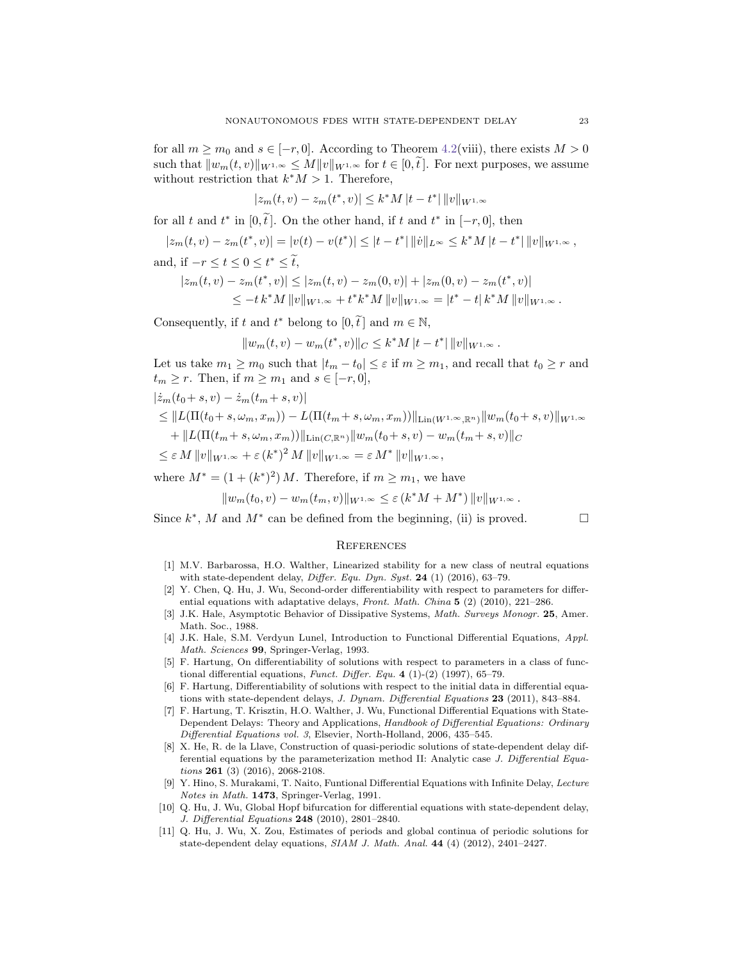for all  $m \geq m_0$  and  $s \in [-r, 0]$ . According to Theorem [4.2\(](#page-14-0)viii), there exists  $M > 0$ such that  $||w_m(t, v)||_{W^{1,\infty}} \leq M||v||_{W^{1,\infty}}$  for  $t \in [0, \tilde{t}]$ . For next purposes, we assume without restriction that  $k^*M > 1$ . Therefore,

$$
|z_m(t, v) - z_m(t^*, v)| \le k^* M |t - t^*| \|v\|_{W^{1,\infty}}
$$

for all t and  $t^*$  in  $[0, \tilde{t}]$ . On the other hand, if t and  $t^*$  in  $[-r, 0]$ , then

$$
|z_m(t, v) - z_m(t^*, v)| = |v(t) - v(t^*)| \le |t - t^*| \|\dot{v}\|_{L^\infty} \le k^* M |t - t^*| \|v\|_{W^{1,\infty}},
$$

and, if 
$$
-r \le t \le 0 \le t^* \le \tilde{t}
$$
,  
\n $|z_m(t, v) - z_m(t^*, v)| \le |z_m(t, v) - z_m(0, v)| + |z_m(0, v) - z_m(t^*, v)|$   
\n $\le -t k^* M ||v||_{W^{1,\infty}} + t^* k^* M ||v||_{W^{1,\infty}} = |t^* - t| k^* M ||v||_{W^{1,\infty}}.$ 

Consequently, if t and  $t^*$  belong to  $[0, \tilde{t}]$  and  $m \in \mathbb{N}$ ,

$$
||w_m(t, v) - w_m(t^*, v)||_C \le k^*M|t - t^*| ||v||_{W^{1,\infty}}.
$$

Let us take  $m_1 \geq m_0$  such that  $|t_m - t_0| \leq \varepsilon$  if  $m \geq m_1$ , and recall that  $t_0 \geq r$  and  $t_m \geq r$ . Then, if  $m \geq m_1$  and  $s \in [-r, 0],$ 

$$
\begin{aligned} &\left|\dot{z}_{m}(t_{0}+s,v)-\dot{z}_{m}(t_{m}+s,v)\right| \\ &\leq\|L(\Pi(t_{0}+s,\omega_{m},x_{m})) - L(\Pi(t_{m}+s,\omega_{m},x_{m}))\|_{\mathrm{Lin}(W^{1,\infty},\mathbb{R}^{n})}\|w_{m}(t_{0}+s,v)\|_{W^{1,\infty}} \\ &+ \|L(\Pi(t_{m}+s,\omega_{m},x_{m}))\|_{\mathrm{Lin}(C,\mathbb{R}^{n})}\|w_{m}(t_{0}+s,v)-w_{m}(t_{m}+s,v)\|_{C} \\ &\leq\varepsilon\,M\,\|v\|_{W^{1,\infty}} + \varepsilon\,(k^{*})^{2}\,M\,\|v\|_{W^{1,\infty}} = \varepsilon\,M^{*}\,\|v\|_{W^{1,\infty}}, \end{aligned}
$$

where  $M^* = (1 + (k^*)^2) M$ . Therefore, if  $m \geq m_1$ , we have

$$
||w_m(t_0, v) - w_m(t_m, v)||_{W^{1,\infty}} \leq \varepsilon (k^*M + M^*) ||v||_{W^{1,\infty}}.
$$

Since  $k^*$ , M and  $M^*$  can be defined from the beginning, (ii) is proved.

## **REFERENCES**

- <span id="page-22-2"></span>[1] M.V. Barbarossa, H.O. Walther, Linearized stability for a new class of neutral equations with state-dependent delay, Differ. Equ. Dyn. Syst.  $24$  (1) (2016), 63-79.
- <span id="page-22-7"></span>[2] Y. Chen, Q. Hu, J. Wu, Second-order differentiability with respect to parameters for differential equations with adaptative delays, Front. Math. China  $5$  (2) (2010), 221-286.
- <span id="page-22-4"></span>[3] J.K. Hale, Asymptotic Behavior of Dissipative Systems, Math. Surveys Monogr. 25, Amer. Math. Soc., 1988.
- <span id="page-22-10"></span>[4] J.K. Hale, S.M. Verdyun Lunel, Introduction to Functional Differential Equations, Appl. Math. Sciences 99, Springer-Verlag, 1993.
- <span id="page-22-5"></span>[5] F. Hartung, On differentiability of solutions with respect to parameters in a class of functional differential equations, Funct. Differ. Equ. 4 (1)-(2) (1997), 65-79.
- <span id="page-22-0"></span>[6] F. Hartung, Differentiability of solutions with respect to the initial data in differential equations with state-dependent delays, J. Dynam. Differential Equations 23 (2011), 843–884.
- <span id="page-22-1"></span>[7] F. Hartung, T. Krisztin, H.O. Walther, J. Wu, Functional Differential Equations with State-Dependent Delays: Theory and Applications, Handbook of Differential Equations: Ordinary Differential Equations vol. 3, Elsevier, North-Holland, 2006, 435–545.
- <span id="page-22-3"></span>[8] X. He, R. de la Llave, Construction of quasi-periodic solutions of state-dependent delay differential equations by the parameterization method II: Analytic case J. Differential Equations 261 (3) (2016), 2068-2108.
- <span id="page-22-6"></span>[9] Y. Hino, S. Murakami, T. Naito, Funtional Differential Equations with Infinite Delay, Lecture Notes in Math. 1473, Springer-Verlag, 1991.
- <span id="page-22-8"></span>[10] Q. Hu, J. Wu, Global Hopf bifurcation for differential equations with state-dependent delay, J. Differential Equations 248 (2010), 2801–2840.
- <span id="page-22-9"></span>[11] Q. Hu, J. Wu, X. Zou, Estimates of periods and global continua of periodic solutions for state-dependent delay equations,  $SIAM$  J. Math. Anal. 44 (4) (2012), 2401–2427.